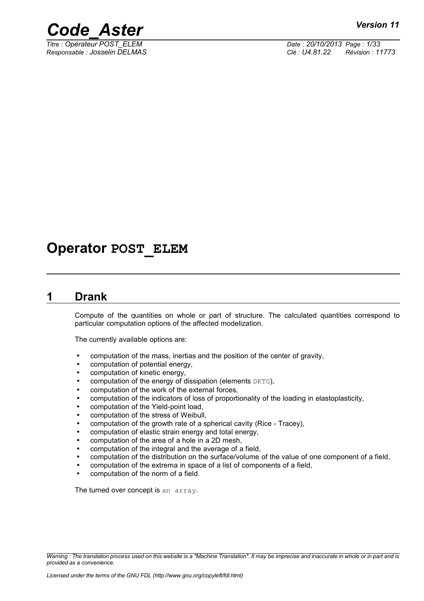



*Titre : Opérateur POST\_ELEM Date : 20/10/2013 Page : 1/33 Responsable : Josselin DELMAS Clé : U4.81.22 Révision : 11773*

## **Operator POST\_ELEM**

## **1 Drank**

Compute of the quantities on whole or part of structure. The calculated quantities correspond to particular computation options of the affected modelization.

The currently available options are:

- computation of the mass, inertias and the position of the center of gravity,
- computation of potential energy,
- computation of kinetic energy,
- computation of the energy of dissipation (elements DKTG),
- computation of the work of the external forces,
- computation of the indicators of loss of proportionality of the loading in elastoplasticity,
- computation of the Yield-point load,
- computation of the stress of Weibull,
- computation of the growth rate of a spherical cavity (Rice Tracey),
- computation of elastic strain energy and total energy,
- computation of the area of a hole in a 2D mesh,
- computation of the integral and the average of a field,
- computation of the distribution on the surface/volume of the value of one component of a field,
- computation of the extrema in space of a list of components of a field,
- computation of the norm of a field.

The turned over concept is an array.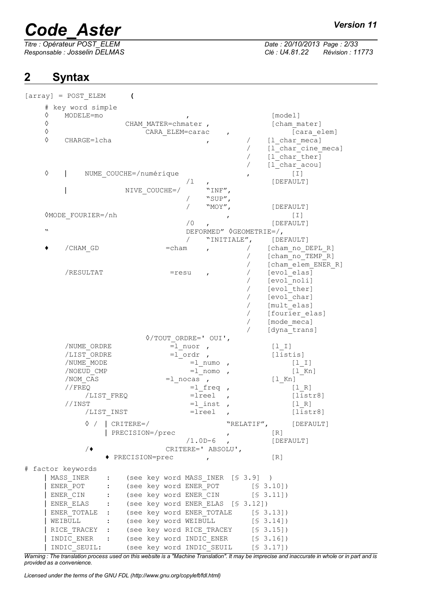# *Code\_Aster Version 11*<br> *Titre* : Opérateur POST\_ELEM Date : 20/10/2013 Page : 2/33

*Responsable : Josselin DELMAS Clé : U4.81.22 Révision : 11773*

## **2 Syntax**

*Titre : Opérateur POST\_ELEM Date : 20/10/2013 Page : 2/33*

| $[array] = POST ELEMENT$                    |                                |                                   |                         |                    |                                     |                    |
|---------------------------------------------|--------------------------------|-----------------------------------|-------------------------|--------------------|-------------------------------------|--------------------|
| # key word simple                           |                                |                                   |                         |                    |                                     |                    |
| ♦<br>MODELE=mo                              |                                |                                   |                         |                    |                                     | [model]            |
| ♦                                           |                                | CHAM MATER=chmater,               |                         |                    |                                     | [cham mater]       |
| ♦                                           |                                | CARA ELEM=carac                   |                         |                    |                                     | [cara_elem]        |
| ♦<br>CHARGE=lcha                            |                                |                                   |                         |                    |                                     | [1 char meca]      |
|                                             |                                |                                   |                         |                    |                                     | [1 char cine meca] |
|                                             |                                |                                   |                         |                    |                                     | $[1_{char\_ther}]$ |
|                                             |                                |                                   |                         |                    |                                     | [1 char acou]      |
| ♦                                           | NUME COUCHE=/numérique         |                                   |                         |                    |                                     | $[1]$              |
|                                             |                                |                                   | /1                      |                    |                                     | [DEFAULT]          |
|                                             |                                | NIVE COUCHE=/                     |                         | "INF",             |                                     |                    |
|                                             |                                |                                   |                         | "SUP",             |                                     |                    |
|                                             |                                |                                   |                         | "MOY",             |                                     | [DEFAULT]          |
| 0MODE FOURIER=/nh                           |                                |                                   |                         |                    |                                     | $[1]$              |
|                                             |                                |                                   | / 0                     | ,                  |                                     | [DEFAULT]          |
| $\boldsymbol{\mathsf{v}}$                   |                                |                                   |                         |                    | DEFORMED" $\Diamond$ GEOMETRIE=/,   |                    |
|                                             |                                |                                   |                         | "INITIALE",        |                                     | [DEFAULT]          |
| /CHAM GD                                    |                                | $=$ cham                          |                         |                    |                                     | [cham no DEPL R]   |
|                                             |                                |                                   | $\mathbf{r}$            |                    |                                     | [cham no TEMP R]   |
|                                             |                                |                                   |                         |                    |                                     | [cham elem ENER R] |
| /RESULTAT                                   |                                | $=$ resu                          |                         |                    |                                     | [evol_elas]        |
|                                             |                                |                                   | $\mathbf{r}$            |                    |                                     | [evol noli]        |
|                                             |                                |                                   |                         |                    |                                     | [evol ther]        |
|                                             |                                |                                   |                         |                    |                                     | [evol char]        |
|                                             |                                |                                   |                         |                    |                                     | [mult elas]        |
|                                             |                                |                                   |                         |                    |                                     | [fourier elas]     |
|                                             |                                |                                   |                         |                    |                                     | [mode meca]        |
|                                             |                                |                                   |                         |                    |                                     | [dyna trans]       |
|                                             |                                | $\Diamond$ /TOUT ORDRE=' OUI',    |                         |                    |                                     |                    |
| /NUME ORDRE                                 |                                |                                   | $=1$ nuor,              |                    | $[1 1]$                             |                    |
| /LIST ORDRE                                 |                                |                                   | $=1$ ordr ,             |                    |                                     | [listis]           |
| /NUME MODE                                  |                                |                                   | =1 numo                 |                    |                                     | $[1  I]$           |
| /NOEUD CMP                                  |                                |                                   | $=1$ nomo               |                    |                                     | $[1$ Kn]           |
| /NOM CAS                                    |                                |                                   | $=1$ nocas,             |                    | $[1$ Kn]                            |                    |
| //FREO                                      |                                |                                   | $=1$ freq               |                    |                                     | [1 R]              |
|                                             | /LIST FREQ                     |                                   | $=$ lreel               |                    |                                     | [liststr8]         |
| //INST                                      |                                |                                   | $=1$ inst               |                    |                                     | [1 R]              |
|                                             | /LIST INST                     |                                   | $=$ $1$ $\mathrm{real}$ |                    |                                     | [liststr8]         |
|                                             |                                |                                   |                         |                    |                                     |                    |
|                                             | $\Diamond$ /   CRITERE=/       |                                   |                         |                    | "RELATIF", [DEFAULT]                |                    |
|                                             | PRECISION=/prec                |                                   |                         | $\mathbf{r}$       | $\lceil R \rceil$                   |                    |
|                                             |                                |                                   |                         | $/1.0D-6$ ,        |                                     | [DEFAULT]          |
| $/ \bullet$                                 |                                |                                   |                         | CRITERE=' ABSOLU', |                                     |                    |
|                                             | $\blacklozenge$ PRECISION=prec |                                   | $\mathbf{r}$            |                    | [R]                                 |                    |
| # factor keywords                           |                                |                                   |                         |                    |                                     |                    |
| MASS INER                                   | $\ddot{\cdot}$                 | (see key word MASS INER [§ 3.9] ) |                         |                    |                                     |                    |
| ENER POT                                    | $\ddot{\cdot}$                 |                                   |                         |                    | (see key word ENER_POT [§ 3.10])    |                    |
| ENER CIN : (see key word ENER CIN [§ 3.11]) |                                |                                   |                         |                    |                                     |                    |
| ENER ELAS :                                 |                                | (see key word ENER ELAS [§ 3.12]) |                         |                    |                                     |                    |
| ENER TOTALE :                               |                                |                                   |                         |                    | (see key word ENER TOTALE [§ 3.13]) |                    |
| WEIBULL                                     |                                | (see key word WEIBULL             |                         |                    | [\$3.14])                           |                    |
| $\sim 10^{-10}$ GeV $_\odot$                |                                |                                   |                         |                    |                                     |                    |
| RICE TRACEY :                               |                                |                                   |                         |                    | (see key word RICE TRACEY [§ 3.15]) |                    |
| INDIC ENER :                                |                                |                                   |                         |                    | (see key word INDIC ENER [§ 3.16])  |                    |

*Warning : The translation process used on this website is a "Machine Translation". It may be imprecise and inaccurate in whole or in part and is provided as a convenience.*

| INDIC SEUIL: (see key word INDIC SEUIL [§ 3.17])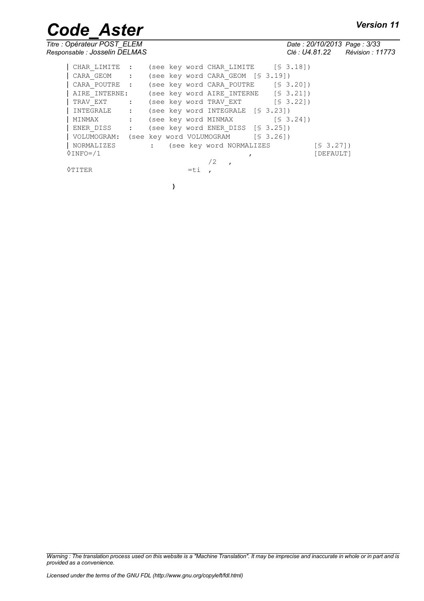*Code\_Aster Version 11*<br> *Titre* : Opérateur POST\_ELEM Date : 20/10/2013 Page : 3/33 *Responsable : Josselin DELMAS Clé : U4.81.22 Révision : 11773*

*Titre : Opérateur POST\_ELEM Date : 20/10/2013 Page : 3/33*

| CHAR LIMITE :                                     |              |        |    | (see key word CHAR LIMITE [§ 3.18])     |  |  |           |  |
|---------------------------------------------------|--------------|--------|----|-----------------------------------------|--|--|-----------|--|
| CARA GEOM : (see key word CARA GEOM [§ 3.19])     |              |        |    |                                         |  |  |           |  |
| CARA POUTRE : (see key word CARA POUTRE [§ 3.20]) |              |        |    |                                         |  |  |           |  |
| AIRE INTERNE:                                     |              |        |    | (see key word AIRE INTERNE $[$ 3.21]$ ) |  |  |           |  |
| TRAV EXT : (see key word TRAV EXT [§ 3.22])       |              |        |    |                                         |  |  |           |  |
| INTEGRALE : (see key word INTEGRALE [§ 3.23])     |              |        |    |                                         |  |  |           |  |
| MINMAX                                            |              |        |    | : (see key word MINMAX [§ 3.24])        |  |  |           |  |
| ENER DISS : (see key word ENER DISS [§ 3.25])     |              |        |    |                                         |  |  |           |  |
| VOLUMOGRAM:                                       |              |        |    | (see key word VOLUMOGRAM [§ 3.26])      |  |  |           |  |
| NORMALIZES                                        | $\mathbf{1}$ |        |    | (see key word NORMALIZES                |  |  | [\$3.27]  |  |
| $\Diamond$ INFO=/1                                |              |        |    |                                         |  |  | [DEFAULT] |  |
|                                                   |              |        | /2 |                                         |  |  |           |  |
| 0 T T T F.R                                       |              | $=$ ti |    |                                         |  |  |           |  |

**)**

*Warning : The translation process used on this website is a "Machine Translation". It may be imprecise and inaccurate in whole or in part and is provided as a convenience.*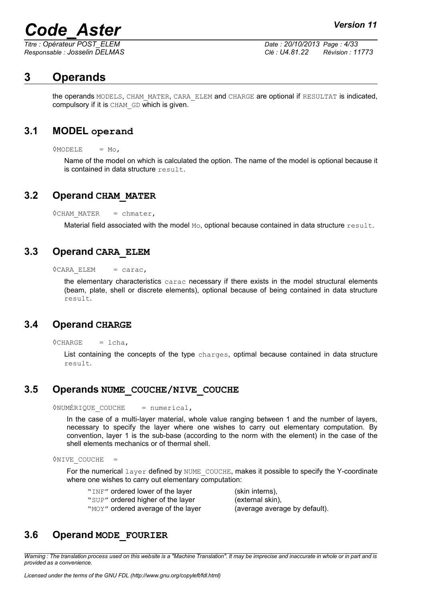*Titre : Opérateur POST\_ELEM Date : 20/10/2013 Page : 4/33 Responsable : Josselin DELMAS Clé : U4.81.22 Révision : 11773*

## **3 Operands**

the operands MODELS, CHAM\_MATER, CARA\_ELEM and CHARGE are optional if RESULTAT is indicated, compulsory if it is CHAM\_GD which is given.

## **3.1 MODEL operand**

 $OMODELE = MO$ .

Name of the model on which is calculated the option. The name of the model is optional because it is contained in data structure  $result$ .

## **3.2 Operand CHAM\_MATER**

 $\Diamond$ CHAM MATER = chmater,

Material field associated with the model  $M_{\odot}$ , optional because contained in data structure  $r$ esult.

## **3.3 Operand CARA\_ELEM**

 $\Diamond$ CARA ELEM = carac,

the elementary characteristics carac necessary if there exists in the model structural elements (beam, plate, shell or discrete elements), optional because of being contained in data structure result.

## **3.4 Operand CHARGE**

 $\Diamond$ CHARGE = lcha,

List containing the concepts of the type charges, optimal because contained in data structure result.

## **3.5 Operands NUME\_COUCHE/NIVE\_COUCHE**

◊NUMÉRIQUE\_COUCHE = numerical,

In the case of a multi-layer material, whole value ranging between 1 and the number of layers, necessary to specify the layer where one wishes to carry out elementary computation. By convention, layer 1 is the sub-base (according to the norm with the element) in the case of the shell elements mechanics or of thermal shell.

 $\Diamond$ NIVE COUCHE =

For the numerical layer defined by NUME COUCHE, makes it possible to specify the Y-coordinate where one wishes to carry out elementary computation:

| "INF" ordered lower of the layer   | (skin interns),               |
|------------------------------------|-------------------------------|
| "SUP" ordered higher of the layer  | (external skin),              |
| "MOY" ordered average of the layer | (average average by default). |

## **3.6 Operand MODE\_FOURIER**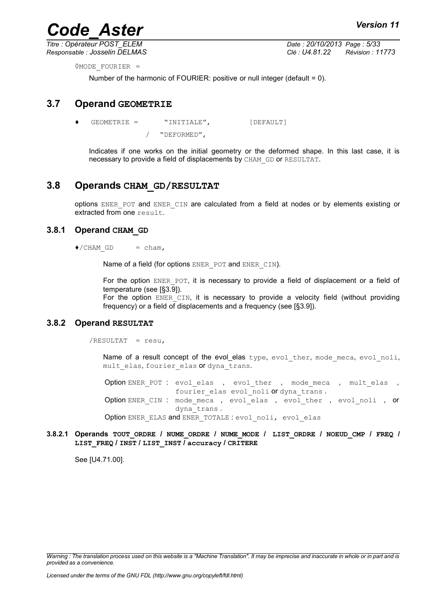*Titre : Opérateur POST\_ELEM Date : 20/10/2013 Page : 5/33 Responsable : Josselin DELMAS Clé : U4.81.22 Révision : 11773*

◊MODE\_FOURIER =

Number of the harmonic of FOURIER: positive or null integer (default = 0).

## **3.7 Operand GEOMETRIE**

 $GEOMETRIE = "INITIALE",$  [DEFAULT]

/ "DEFORMED",

Indicates if one works on the initial geometry or the deformed shape. In this last case, it is necessary to provide a field of displacements by CHAM\_GD or RESULTAT.

## **3.8 Operands CHAM\_GD/RESULTAT**

options ENER\_POT and ENER\_CIN are calculated from a field at nodes or by elements existing or extracted from one result.

#### **3.8.1 Operand CHAM\_GD**

 $\bullet$ /CHAM GD = cham,

Name of a field (for options ENER POT and ENER CIN).

For the option ENER POT, it is necessary to provide a field of displacement or a field of temperature (see [§3.9]).

For the option ENER CIN, it is necessary to provide a velocity field (without providing frequency) or a field of displacements and a frequency (see [§3.9]).

#### **3.8.2 Operand RESULTAT**

/RESULTAT = resu,

Name of a result concept of the evol\_elas type, evol ther, mode meca, evol noli, mult elas, fourier elas or dyna trans.

Option ENER POT : evol elas , evol ther , mode meca , mult elas , fourier elas evol noli or dyna trans . Option ENER CIN : mode meca, evol elas, evol ther, evol noli, or dyna\_trans . Option ENER ELAS and ENER TOTALE : evol noli, evol elas

#### **3.8.2.1 Operands TOUT\_ORDRE / NUME\_ORDRE / NUME\_MODE / LIST\_ORDRE / NOEUD\_CMP / FREQ / LIST\_FREQ / INST / LIST\_INST / accuracy / CRITERE**

See [U4.71.00].

*Warning : The translation process used on this website is a "Machine Translation". It may be imprecise and inaccurate in whole or in part and is provided as a convenience.*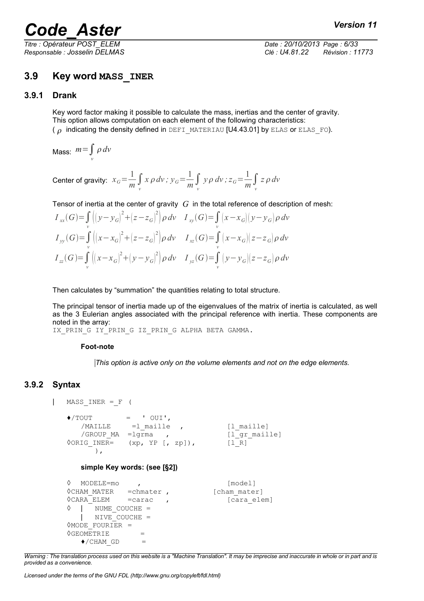*Titre : Opérateur POST\_ELEM Date : 20/10/2013 Page : 6/33 Responsable : Josselin DELMAS Clé : U4.81.22 Révision : 11773*

## **3.9 Key word MASS\_INER**

#### **3.9.1 Drank**

Key word factor making it possible to calculate the mass, inertias and the center of gravity. This option allows computation on each element of the following characteristics: ( $\rho$  indicating the density defined in DEFI\_MATERIAU [U4.43.01] by ELAS or ELAS\_FO).

Mass: *m*=∫ *dv v*

Center of gravity:  $x_G = \frac{1}{m}$ *m* ∫ *v*  $x \rho dv$ ;  $y_G = \frac{1}{m}$  $\frac{1}{m}$  ∫  $y \rho \, dv$ ;  $z_G = \frac{1}{m}$  $\frac{1}{m}$  ∫ *z dv*

Tensor of inertia at the center of gravity *G* in the total reference of description of mesh:

$$
I_{xx}(G) = \int_{v} \left( \left( y - y_{G} \right)^{2} + \left( z - z_{G} \right)^{2} \right) \rho \, dv \quad I_{xy}(G) = \int_{v} \left( x - x_{G} \right) \left( y - y_{G} \right) \rho \, dv
$$
  
\n
$$
I_{yy}(G) = \int_{v} \left( \left( x - x_{G} \right)^{2} + \left( z - z_{G} \right)^{2} \right) \rho \, dv \quad I_{xz}(G) = \int_{v} \left( x - x_{G} \right) \left( z - z_{G} \right) \rho \, dv
$$
  
\n
$$
I_{zz}(G) = \int_{v} \left( \left( x - x_{G} \right)^{2} + \left( y - y_{G} \right)^{2} \right) \rho \, dv \quad I_{yz}(G) = \int_{v} \left( y - y_{G} \right) \left( z - z_{G} \right) \rho \, dv
$$

Then calculates by "summation" the quantities relating to total structure.

The principal tensor of inertia made up of the eigenvalues of the matrix of inertia is calculated, as well as the 3 Eulerian angles associated with the principal reference with inertia. These components are noted in the array:

IX\_PRIN\_G IY\_PRIN\_G IZ\_PRIN\_G ALPHA BETA GAMMA.

#### **Foot-note**

*This option is active only on the volume elements and not on the edge elements.*

## **3.9.2 Syntax**

```
| MASS INER = F (
```

```
\triangle/TOUT = ' OUI',
  /MAILLE =1_maille , [1_maille]
  /GROUP_MA =lgrma , [l_gr_maille]
\sqrt{ORIG INER} = (xp, YP [R, zp]), [1R]),
```
#### **simple Key words: (see [§2])**

```
◊ MODELE=mo , [model]
◊CHAM_MATER =chmater , [cham_mater]
◊CARA_ELEM =carac , [cara_elem]
◊ | NUME_COUCHE =
  | NIVE_COUCHE =
◊MODE_FOURIER =
\DiamondGEOMETRIE =
  \bullet/CHAM GD =
```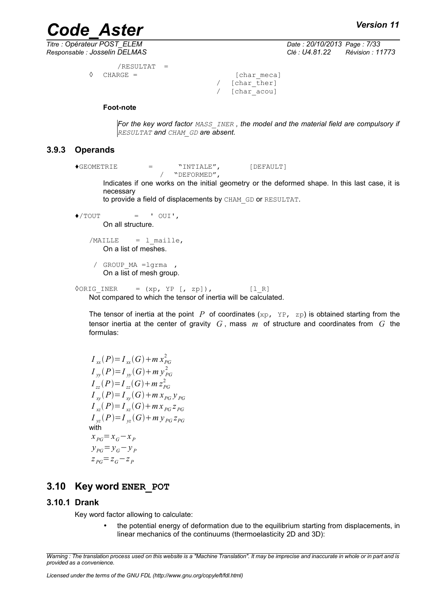*Titre : Opérateur POST\_ELEM Date : 20/10/2013 Page : 7/33 Responsable : Josselin DELMAS Clé : U4.81.22 Révision : 11773*

```
/RESULTAT =
CHARGE = [char meca]
```
 $/$  [char ther] / [char\_acou]

#### **Foot-note**

*For the key word factor MASS\_INER , the model and the material field are compulsory if RESULTAT and CHAM\_GD are absent.*

#### **3.9.3 Operands**

 $\bigcirc$ EOMETRIE = "INTIALE", [DEFAULT] / "DEFORMED",

> Indicates if one works on the initial geometry or the deformed shape. In this last case, it is necessary

to provide a field of displacements by CHAM\_GD or RESULTAT.

 $\blacklozenge$ /TOUT = ' OUI', On all structure.  $/MAILLE$  = 1 maille, On a list of meshes.

/ GROUP\_MA =lgrma , On a list of mesh group.

 $\sqrt{ORIG INER}$  = (xp, YP [, zp]), [l R] Not compared to which the tensor of inertia will be calculated.

The tensor of inertia at the point  $P$  of coordinates (xp, YP, zp) is obtained starting from the tensor inertia at the center of gravity *G* , mass *m* of structure and coordinates from *G* the formulas:

 $I_{xx}(P) = I_{xx}(G) + m x_{PG}^2$  $I_{yy}(P) = I_{yy}(G) + m y_{PG}^2$  $I_{zz}(P) = I_{zz}(G) + m z_{PG}^2$  $I_{xy}(P) = I_{xy}(G) + m x_{PG} y_{PG}$  $I_{xz}(P) = I_{xz}(G) + mx_{PG} z_{PG}$  $I_{yz}(P) = I_{yz}(G) + m y_{PG} z_{PG}$ with  $x_{PG} = x_G - x_P$  $y_{PG} = y_G - y_P$  $Z_{PG}$ = $Z_{G}$ − $Z_{P}$ 

## **3.10 Key word ENER\_POT**

#### **3.10.1 Drank**

Key word factor allowing to calculate:

• the potential energy of deformation due to the equilibrium starting from displacements, in linear mechanics of the continuums (thermoelasticity 2D and 3D):

*Warning : The translation process used on this website is a "Machine Translation". It may be imprecise and inaccurate in whole or in part and is provided as a convenience.*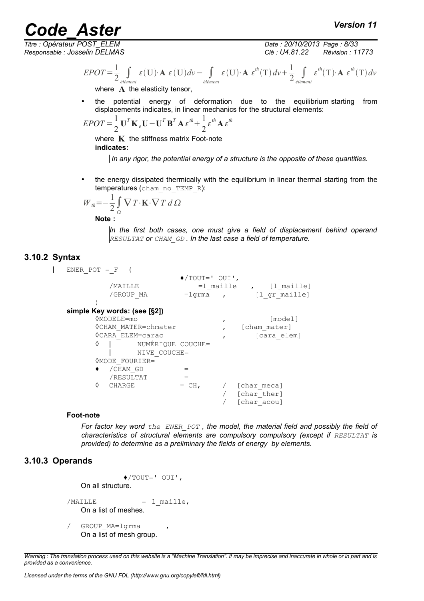*Titre : Opérateur POST\_ELEM Date : 20/10/2013 Page : 8/33 Responsable : Josselin DELMAS Clé : U4.81.22 Révision : 11773*

$$
EPOT = \frac{1}{2} \int_{\text{element}} \varepsilon(U) \cdot \mathbf{A} \, \varepsilon(U) \, dv - \int_{\text{element}} \varepsilon(U) \cdot \mathbf{A} \, \varepsilon^{th}(T) \, dv + \frac{1}{2} \int_{\text{element}} \varepsilon^{th}(T) \cdot \mathbf{A} \, \varepsilon^{th}(T) \, dv
$$
\nwhere **A** the elasticity tensor,

• the potential energy of deformation due to the equilibrium starting from displacements indicates, in linear mechanics for the structural elements:

$$
EPOT = \frac{1}{2} \mathbf{U}^T \mathbf{K}_e \mathbf{U} - \mathbf{U}^T \mathbf{B}^T \mathbf{A} \boldsymbol{\varepsilon}^{th} + \frac{1}{2} \boldsymbol{\varepsilon}^{th} \mathbf{A} \boldsymbol{\varepsilon}^{th}
$$

where **K** the stiffness matrix Foot-note **indicates:**

 *In any rigor, the potential energy of a structure is the opposite of these quantities.* 

• the energy dissipated thermically with the equilibrium in linear thermal starting from the temperatures (cham\_no\_TEMP\_R):

$$
W_{th} = -\frac{1}{2} \int_{\Omega} \nabla T \cdot \mathbf{K} \cdot \nabla T d\Omega
$$

**Note :**

*In the first both cases, one must give a field of displacement behind operand RESULTAT or CHAM\_GD . In the last case a field of temperature.* 

## **3.10.2 Syntax**

 $|$  ENER POT = F (

```
♦/TOUT=' OUI',
        /MAILLE =1_maille , [1_maille]<br>/GROUP MA =1qrma , [1 qr maille]
                      =lgrma , [l_gr_maille]
     )
simple Key words: (see [§2])
     ◊MODELE=mo , [model]
     ◊CHAM_MATER=chmater , [cham_mater]
     ◊CARA_ELEM=carac , [cara_elem]
     ◊ | NUMÉRIQUE_COUCHE=
        | NIVE_COUCHE=
     ◊MODE_FOURIER=
     \bullet / CHAM GD =/RESULTAT =\Diamond CHARGE = CH, / [char meca]
                               / [char_ther]
                               / [char_acou]
```
#### **Foot-note**

*For factor key word the ENER\_POT , the model, the material field and possibly the field of characteristics of structural elements are compulsory compulsory (except if RESULTAT is provided) to determine as a preliminary the fields of energy by elements.*

## **3.10.3 Operands**

```
♦/TOUT=' OUI', 
   On all structure.
/MAILLE = 1 maille,
   On a list of meshes.
/ GROUP MA=lgrma
   On a list of mesh group.
```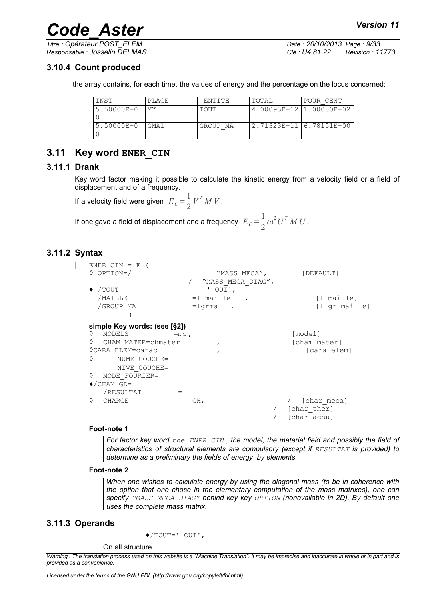*Titre : Opérateur POST\_ELEM Date : 20/10/2013 Page : 9/33*

*Responsable : Josselin DELMAS Clé : U4.81.22 Révision : 11773*

### **3.10.4 Count produced**

the array contains, for each time, the values of energy and the percentage on the locus concerned:

| INST       | PLACE   | ENTITE   | TOTAL                   | POUR CENT |
|------------|---------|----------|-------------------------|-----------|
| 5.50000E+0 | MY      | TOUT     | 4.00093E+12 1.00000E+02 |           |
| 5.50000E+0 | I GMA 1 | GROUP MA | 2.71323E+11 6.78151E+00 |           |

## **3.11 Key word ENER\_CIN**

### **3.11.1 Drank**

Key word factor making it possible to calculate the kinetic energy from a velocity field or a field of displacement and of a frequency.

If a velocity field were given  $|E_C = \frac{1}{2}|$  $\frac{1}{2}V^T M V$ .

If one gave a field of displacement and a frequency  $|E|_C\!=\!{1\over2}$  $\frac{1}{2}\omega^2 U^T M U$ .

## **3.11.2 Syntax**

| ENER $CIN = F$               |                                       |               |
|------------------------------|---------------------------------------|---------------|
| $\lozenge$ OPTION=/          | "MASS MECA",                          | [DEFAULT]     |
|                              | "MASS MECA DIAG",                     |               |
| /TOUT                        | ' $OUT$ ,<br>$=$                      |               |
| /MAILLE                      | $=1$ maille<br>$\overline{ }$         | [1 maille]    |
| /GROUP MA                    | $=$ lqrma<br>$\overline{\phantom{a}}$ | [l gr maille] |
|                              |                                       |               |
| simple Key words: (see [§2]) |                                       |               |
| MODELS<br>♦                  | $=$ mo,                               | [model]       |
| ♦<br>CHAM MATER=chmater      |                                       | [cham mater]  |
| <b>OCARA ELEM=carac</b>      |                                       | [cara elem]   |
| ♦<br>NUME COUCHE=            |                                       |               |
| NIVE COUCHE=                 |                                       |               |
| ♦<br>MODE FOURIER=           |                                       |               |
| $\blacklozenge$ /CHAM GD=    |                                       |               |
| /RESULTAT                    | $=$                                   |               |
| ♦<br>$CHARGE=$               | CH,                                   | [char meca]   |
|                              |                                       | [char ther]   |
|                              |                                       |               |
|                              |                                       | [char acou]   |

#### **Foot-note 1**

*For factor key word the ENER\_CIN , the model, the material field and possibly the field of characteristics of structural elements are compulsory (except if RESULTAT is provided) to determine as a preliminary the fields of energy by elements.*

#### **Foot-note 2**

*When one wishes to calculate energy by using the diagonal mass (to be in coherence with the option that one chose in the elementary computation of the mass matrixes), one can specify "MASS\_MECA\_DIAG" behind key key OPTION (nonavailable in 2D). By default one uses the complete mass matrix.*

#### **3.11.3 Operands**

♦/TOUT=' OUI',

#### On all structure.

*Warning : The translation process used on this website is a "Machine Translation". It may be imprecise and inaccurate in whole or in part and is provided as a convenience.*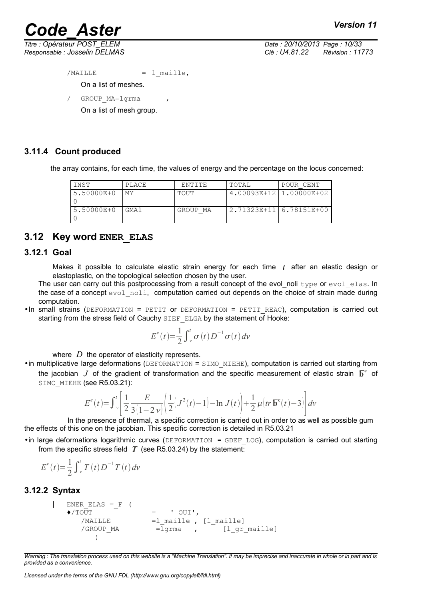*Titre : Opérateur POST\_ELEM Date : 20/10/2013 Page : 10/33*

*Responsable : Josselin DELMAS Clé : U4.81.22 Révision : 11773*

 $/MAILLE$  = 1 maille,

On a list of meshes.

/ GROUP MA=lgrma

On a list of mesh group.

### **3.11.4 Count produced**

the array contains, for each time, the values of energy and the percentage on the locus concerned:

| INST       | PLACE            | FNTITF.  | TOTAL                       | POUR CENT |
|------------|------------------|----------|-----------------------------|-----------|
| 5.50000E+0 | <b>MY</b>        | TOUT     | $4.00093E+12$ $1.00000E+02$ |           |
| 5.50000E+0 | GMA <sub>1</sub> | GROUP MA | 2.71323E+11 6.78151E+00     |           |

## **3.12 Key word ENER\_ELAS**

#### **3.12.1 Goal**

Makes it possible to calculate elastic strain energy for each time *t* after an elastic design or elastoplastic, on the topological selection chosen by the user.

The user can carry out this postprocessing from a result concept of the evol noli type or evol elas. In the case of a concept evol noli, computation carried out depends on the choice of strain made during computation.

 $\bullet$ In small strains (DEFORMATION = PETIT Or DEFORMATION = PETIT REAC), computation is carried out starting from the stress field of Cauchy SIEF\_ELGA by the statement of Hooke:

$$
E^{e}(t) = \frac{1}{2} \int_{v}^{t} \sigma(t) D^{-1} \sigma(t) dv
$$

where *D* the operator of elasticity represents.

•in multiplicative large deformations (DEFORMATION = SIMO\_MIEHE), computation is carried out starting from the jacobian  $J$  of the gradient of transformation and the specific measurement of elastic strain  $\overline{b}^e$  of SIMO MIEHE (see R5.03.21):

$$
E^{e}(t) = \int_{v}^{t} \left[ \frac{1}{2} \frac{E}{3(1-2v)} \left( \frac{1}{2} (J^{2}(t) - 1) - \ln J(t) \right) + \frac{1}{2} \mu \left( tr \overline{\mathbf{b}}^{e}(t) - 3 \right) \right] dv
$$

 In the presence of thermal, a specific correction is carried out in order to as well as possible gum the effects of this one on the jacobian. This specific correction is detailed in R5.03.21

•in large deformations logarithmic curves (DEFORMATION = GDEF\_LOG), computation is carried out starting from the specific stress field  $T$  (see R5.03.24) by the statement:

$$
E^{e}(t) = \frac{1}{2} \int_{v}^{t} T(t) D^{-1} T(t) dv
$$

#### **3.12.2 Syntax**

```
| ENER_ELAS =_F (
   \blacklozenge / TOUT = ' OUI',
       /MAILLE =1 maille, [1 maille]
       /GROUP MA =lgrma , \begin{bmatrix} 1 & qr & \text{middle} \end{bmatrix}\lambda
```
*Warning : The translation process used on this website is a "Machine Translation". It may be imprecise and inaccurate in whole or in part and is provided as a convenience.*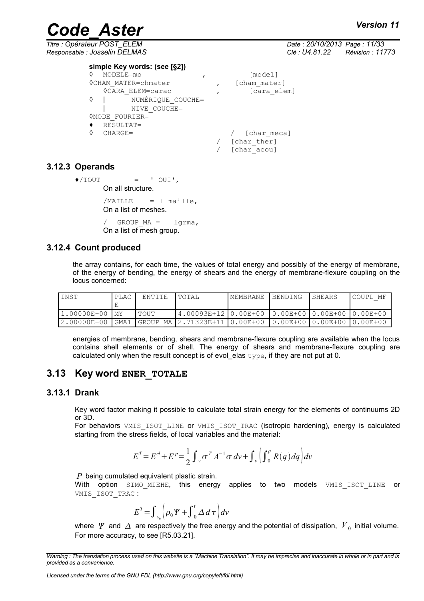*Titre : Opérateur POST\_ELEM Date : 20/10/2013 Page : 11/33 Responsable : Josselin DELMAS Clé : U4.81.22 Révision : 11773*

## *Code\_Aster Version 11*

| simple Key words: (see [§2]) |              |
|------------------------------|--------------|
| ♦<br>MODELE=mo               | [model]      |
| OCHAM MATER=chmater          | [cham mater] |
| ≬CARA ELEM=carac             | [cara elem]  |
| NUMERIQUE COUCHE=<br>♦       |              |
| NIVE COUCHE=                 |              |
| OMODE FOURIER=               |              |
| RESULTAT=                    |              |
| ♦<br>$CHARGE=$               | [char meca]  |
|                              | [char ther]  |
|                              | [char acou]  |
|                              |              |

## **3.12.3 Operands**

```
\blacklozenge/TOUT = ' OUI',
        On all structure.
```
 $/MAILLE$  = 1 maille, On a list of meshes.

GROUP  $MA = 1$ grma, On a list of mesh group.

## **3.12.4 Count produced**

the array contains, for each time, the values of total energy and possibly of the energy of membrane, of the energy of bending, the energy of shears and the energy of membrane-flexure coupling on the locus concerned:

| INST            | PLAC | l TOTAL<br>ENTITE |                                                  | MEMBRANE | BENDING |  | COUPL MF |
|-----------------|------|-------------------|--------------------------------------------------|----------|---------|--|----------|
|                 |      |                   |                                                  |          |         |  |          |
| 11.00000E+00 MY |      | TOUT              | 4.00093E+12 0.00E+00  0.00E+00 0.00E+00 0.00E+00 |          |         |  |          |
| $2.00000E + 00$ |      |                   |                                                  |          |         |  |          |

energies of membrane, bending, shears and membrane-flexure coupling are available when the locus contains shell elements or of shell. The energy of shears and membrane-flexure coupling are calculated only when the result concept is of evol\_elas  $type$ , if they are not put at 0.

## **3.13 Key word ENER\_TOTALE**

## **3.13.1 Drank**

Key word factor making it possible to calculate total strain energy for the elements of continuums 2D or 3D.

For behaviors VMIS\_ISOT\_LINE or VMIS\_ISOT\_TRAC (isotropic hardening), energy is calculated starting from the stress fields, of local variables and the material:

$$
E^{T} = E^{el} + E^{p} = \frac{1}{2} \int_{V} \sigma^{T} A^{-1} \sigma \, dv + \int_{V} \left( \int_{0}^{p} R(q) dq \right) dv
$$

*P* being cumulated equivalent plastic strain.

With option SIMO\_MIEHE, this energy applies to two models VMIS\_ISOT\_LINE or VMIS\_ISOT\_TRAC :

$$
E^{T} = \int_{v_0} \left( \rho_0 \Psi + \int_{0}^{t} \Delta \, d\,\tau \right) dv
$$

where  $\varPsi$  and  $\varDelta$  are respectively the free energy and the potential of dissipation,  $\overline{V}_0$  initial volume. For more accuracy, to see [R5.03.21].

*Warning : The translation process used on this website is a "Machine Translation". It may be imprecise and inaccurate in whole or in part and is provided as a convenience.*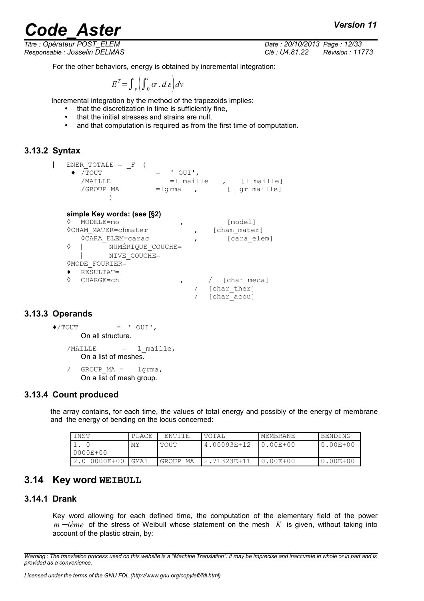*Titre : Opérateur POST\_ELEM Date : 20/10/2013 Page : 12/33*

*Responsable : Josselin DELMAS Clé : U4.81.22 Révision : 11773*

For the other behaviors, energy is obtained by incremental integration:

$$
E^T = \int_{V} \left( \int_{0}^{t} \sigma \cdot d\,\varepsilon \right) dv
$$

Incremental integration by the method of the trapezoids implies:

- that the discretization in time is sufficiently fine,
- that the initial stresses and strains are null,
- and that computation is required as from the first time of computation.

### **3.13.2 Syntax**

```
| ENER_TOTALE = _F (
```
- $\begin{array}{cc} \leftarrow & \overline{\text{TOUT}} & \overline{\text{--}} & = & \text{'} & \text{OUT} \text{--} \\ \text{MAILLE} & =1 & \text{mail} \end{array}$ /MAILLE =1\_maille , [1\_maille]<br>/GROUP MA =1grma , [1 gr maille]
	- )

```
simple Key words: (see [§2)
```

```
◊ MODELE=mo , [model]
\DiamondCHAM MATER=chmater , [cham mater]
  ◊CARA_ELEM=carac , [cara_elem]
\Diamond | NUMÉRIQUE COUCHE=
  | NIVE_COUCHE=
◊MODE_FOURIER=
♦ RESULTAT=
◊ CHARGE=ch , / [char_meca]
                      / [char_ther]
                      / [char_acou]
```
## **3.13.3 Operands**

- $\triangle$ /TOUT = ' OUI', On all structure.
	- $/MAILLE$  = 1 maille, On a list of meshes.

/ GROUP  $MA = 1$ grma, On a list of mesh group.

## **3.13.4 Count produced**

the array contains, for each time, the values of total energy and possibly of the energy of membrane and the energy of bending on the locus concerned:

=lgrma , [l\_gr\_maille]

| <b>INST</b>   | PLACE  | ENTITE   | ' TOTAL      | MEMBRANE     | BENDING      |
|---------------|--------|----------|--------------|--------------|--------------|
|               | MΥ     | TOUT     | 4.00093E+12  | 0.00E+00     | $0.00E + 00$ |
| $10000E + 00$ |        |          |              |              |              |
| 12.0 0000E+00 | l GMA1 | GROUP MA | 12.71323E+11 | $0.00E + 00$ | 0.00E+00     |

## **3.14 Key word WEIBULL**

#### **3.14.1 Drank**

Key word allowing for each defined time, the computation of the elementary field of the power *m* − *ième* of the stress of Weibull whose statement on the mesh K is given, without taking into account of the plastic strain, by:

*Warning : The translation process used on this website is a "Machine Translation". It may be imprecise and inaccurate in whole or in part and is provided as a convenience.*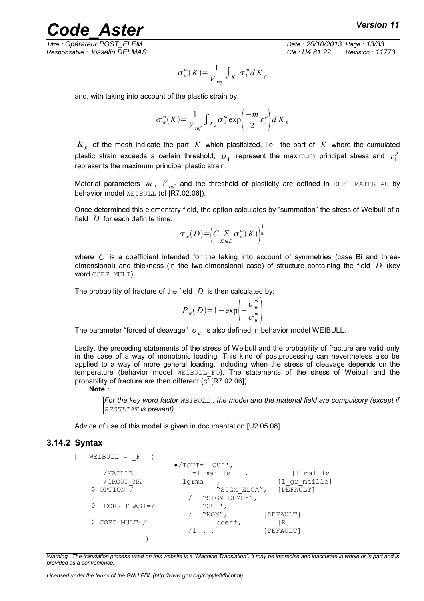*Titre : Opérateur POST\_ELEM Date : 20/10/2013 Page : 13/33*

*Responsable : Josselin DELMAS Clé : U4.81.22 Révision : 11773*

$$
\sigma_w^m(K) = \frac{1}{V_{ref}} \int_{K_p} \sigma_1^m dK_p
$$

and, with taking into account of the plastic strain by:

$$
\sigma_w^m(K) = \frac{1}{V_{ref}} \int_{K_p} \sigma_1^m \exp\left(\frac{-m}{2} \varepsilon_1^p\right) dK_p
$$

 $K_{p}$  of the mesh indicate the part  $K$  which plasticized, i.e., the part of  $K$  where the cumulated plastic strain exceeds a certain threshold;  $\sigma_1^+$  represent the maximum principal stress and  $\varepsilon_1^p$ represents the maximum principal plastic strain.

Material parameters  $m$ ,  $V_{ref}$  and the threshold of plasticity are defined in DEFI MATERIAU by behavior model WEIBULL (cf [R7.02.06]).

Once determined this elementary field, the option calculates by "summation" the stress of Weibull of a field *D* for each definite time:

$$
\sigma_w(D) = \left(C \sum_{K \in D} \sigma_w^m(K)\right)^{\frac{1}{m}}
$$

where C is a coefficient intended for the taking into account of symmetries (case Bi and threedimensional) and thickness (in the two-dimensional case) of structure containing the field *D* (key word COEF\_MULT).

The probability of fracture of the field  $D$  is then calculated by:

$$
P_w(D)=1-\exp\left(-\frac{\sigma_w^m}{\sigma_u^m}\right)
$$

The parameter "forced of cleavage"  $\sigma_{_{\mu}}$  is also defined in behavior model WEIBULL.

Lastly, the preceding statements of the stress of Weibull and the probability of fracture are valid only in the case of a way of monotonic loading. This kind of postprocessing can nevertheless also be applied to a way of more general loading, including when the stress of cleavage depends on the temperature (behavior model WEIBULL FO). The statements of the stress of Weibull and the probability of fracture are then different (cf [R7.02.06]).

#### **Note :**

*For the key word factor WEIBULL , the model and the material field are compulsory (except if RESULTAT is present).*

Advice of use of this model is given in documentation [U2.05.08].

#### **3.14.2 Syntax**

| $WEIBULL = F$          |                               |                        |
|------------------------|-------------------------------|------------------------|
|                        | $\blacklozenge$ /TOUT=' OUI', |                        |
| /MAILLE                | $=1$ maille                   | [l maille]             |
| /GROUP MA              | $=$ lqrma                     | [1 gr maille]          |
| $\Diamond$ OPTION=/    |                               | "SIGM ELGA", [DEFAULT] |
|                        | "SIGM ELMOY",                 |                        |
| CORR PLAST=/           | "OUI',                        |                        |
|                        | "NON",                        | [DEFAULT]              |
| $\Diamond$ COEF MULT=/ | coeff,                        | [R]                    |
|                        |                               | [DEFAULT]              |
|                        |                               |                        |

*Warning : The translation process used on this website is a "Machine Translation". It may be imprecise and inaccurate in whole or in part and is provided as a convenience.*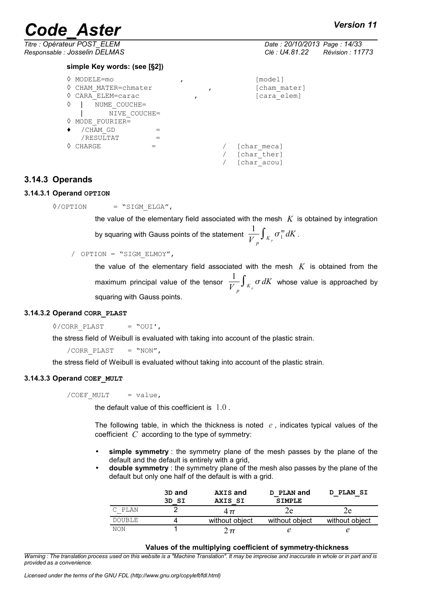*Titre : Opérateur POST\_ELEM Date : 20/10/2013 Page : 14/33 Responsable : Josselin DELMAS Clé : U4.81.22 Révision : 11773*

#### **simple Key words: (see [§2])**

| ♦ | MODELE=mo          |  |  | [model]      |
|---|--------------------|--|--|--------------|
| ♦ | CHAM MATER=chmater |  |  | [cham mater] |
| ♦ | CARA ELEM=carac    |  |  | [cara elem]  |
| ♦ | NUME COUCHE=       |  |  |              |
|   | NIVE COUCHE=       |  |  |              |
| ♦ | MODE FOURIER=      |  |  |              |
|   | /CHAM GD           |  |  |              |
|   | /RESULTAT          |  |  |              |
| ♦ | CHARGE             |  |  | [char meca]  |
|   |                    |  |  | [char ther]  |
|   |                    |  |  | [char acou]  |

### **3.14.3 Operands**

#### **3.14.3.1 Operand OPTION**

 $\Diamond$ /OPTION = "SIGM\_ELGA",

the value of the elementary field associated with the mesh  $K$  is obtained by integration by squaring with Gauss points of the statement  $\frac{1}{11}$  $\frac{1}{V} \int_{K_p} \sigma_1^m dK$  .

/ OPTION = "SIGM\_ELMOY",

the value of the elementary field associated with the mesh *K* is obtained from the maximum principal value of the tensor  $\frac{1}{11}$  $\frac{1}{V}_{p} \int_{K_{p}} \sigma \, dK$  whose value is approached by squaring with Gauss points.

#### **3.14.3.2 Operand CORR\_PLAST**

 $\Diamond$ /CORR PLAST = "OUI',

the stress field of Weibull is evaluated with taking into account of the plastic strain.

/CORR PLAST  $=$  "NON",

the stress field of Weibull is evaluated without taking into account of the plastic strain.

#### **3.14.3.3 Operand COEF\_MULT**

 $/COEF$  MULT = value,

the default value of this coefficient is 1.0 .

The following table, in which the thickness is noted *e* , indicates typical values of the coefficient *C* according to the type of symmetry:

- **simple symmetry** : the symmetry plane of the mesh passes by the plane of the default and the default is entirely with a grid,
- **double symmetry** : the symmetry plane of the mesh also passes by the plane of the default but only one half of the default is with a grid.

|               | 3D and<br>3D SI | <b>AXIS and</b><br>AXIS SI | D PLAN and<br><b>SIMPLE</b> | D PLAN SI      |
|---------------|-----------------|----------------------------|-----------------------------|----------------|
| C PLAN        |                 | $4\pi$                     | ze                          |                |
| <b>DOUBLE</b> |                 | without object             | without object              | without object |
| NON           |                 | . π                        |                             |                |

#### **Values of the multiplying coefficient of symmetry-thickness**

*Warning : The translation process used on this website is a "Machine Translation". It may be imprecise and inaccurate in whole or in part and is provided as a convenience.*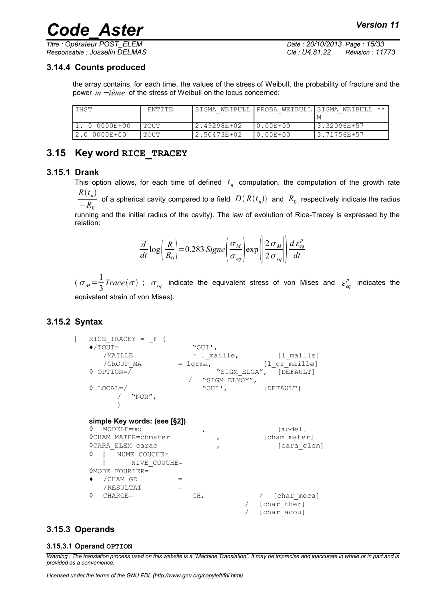*Titre : Opérateur POST\_ELEM Date : 20/10/2013 Page : 15/33 Responsable : Josselin DELMAS Clé : U4.81.22 Révision : 11773*

### **3.14.4 Counts produced**

the array contains, for each time, the values of the stress of Weibull, the probability of fracture and the power *m* − *ième* of the stress of Weibull on the locus concerned:

| INST          | FNTITE |             |              | 'SIGMA WEIBULL   PROBA WEIBULL   SIGMA WEIBULL ** |
|---------------|--------|-------------|--------------|---------------------------------------------------|
|               |        |             |              | M                                                 |
| 0 0000E+00    | TOUT   | 2.49298E+02 | $0.00E + 00$ | '3.32096E+57                                      |
| '2.0 0000E+00 | TOUT   | 2.50473E+02 | $0.00E + 00$ | '3.71756E+57                                      |

## **3.15 Key word RICE\_TRACEY**

#### **3.15.1 Drank**

This option allows, for each time of defined  $t_n$  computation, the computation of the growth rate  $R(t_n)$  $-R_0$ of a spherical cavity compared to a field  $D(R(t_n))$  and  $R_0$  respectively indicate the radius running and the initial radius of the cavity). The law of evolution of Rice-Tracey is expressed by the relation:

$$
\frac{d}{dt}\log\left(\frac{R}{R_0}\right) = 0.283 \text{ Signe}\left(\frac{\sigma_M}{\sigma_{eq}}\right)\exp\left(\frac{2\sigma_M}{2\sigma_{eq}}\right)\frac{d\,\varepsilon_{eq}^p}{dt}
$$

 $(\sigma_M = \frac{1}{2})$  $\frac{1}{3} Trace(\sigma)$  ;  $\sigma_{eq}$  indicate the equivalent stress of von Mises and  $\varepsilon_{eq}^p$  indicates the equivalent strain of von Mises).

## **3.15.2 Syntax**

| RICE TRACEY = $F$            |               |                             |
|------------------------------|---------------|-----------------------------|
| $\blacklozenge$ /TOUT=       | "OUI',        |                             |
| /MAILLE                      |               | $=$ 1 maille, $[$ 1 maille] |
| /GROUP MA                    | $=$ lqrma,    | [l qr maille]               |
| $\lozenge$ OPTION=/          |               | "SIGM ELGA", [DEFAULT]      |
|                              | "SIGM ELMOY", |                             |
| $\Diamond$ LOCAL=/           | "OUI',        | [DEFAULT]                   |
| "NON",                       |               |                             |
|                              |               |                             |
|                              |               |                             |
| simple Key words: (see [§2]) |               |                             |
| ♦<br>MODELE=mo               | $\mathbf{r}$  | [model]                     |
| OCHAM MATER=chmater          | $\mathbf{r}$  | [cham mater]                |
| <b>OCARA ELEM=carac</b>      | $\mathbf{r}$  | [cara elem]                 |
| ♦<br>NUME COUCHE=            |               |                             |
| NIVE COUCHE=                 |               |                             |
| <b>OMODE FOURIER=</b>        |               |                             |
| /CHAM GD                     | $=$           |                             |
| /RESULTAT                    | $=$           |                             |
| ♦<br>$CHARGE =$              | CH,           | [char meca]                 |
|                              |               | / [char ther]               |
|                              |               | [char acou]                 |

## **3.15.3 Operands**

#### **3.15.3.1 Operand OPTION**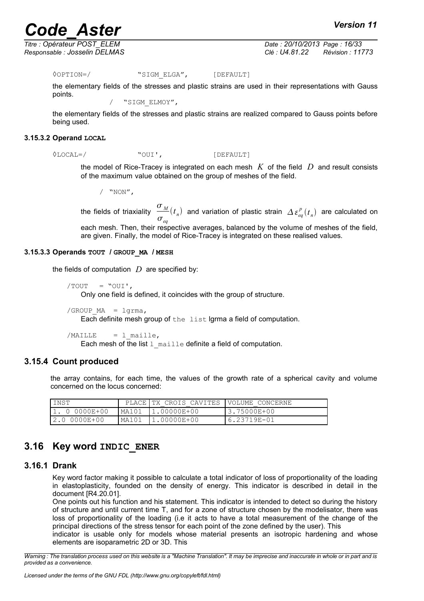*Titre : Opérateur POST\_ELEM Date : 20/10/2013 Page : 16/33*

*Responsable : Josselin DELMAS Clé : U4.81.22 Révision : 11773*

◊OPTION=/ "SIGM\_ELGA", [DEFAULT]

the elementary fields of the stresses and plastic strains are used in their representations with Gauss points.

/ "SIGM\_ELMOY",

the elementary fields of the stresses and plastic strains are realized compared to Gauss points before being used.

#### **3.15.3.2 Operand LOCAL**

 $\Diamond$ LOCAL=/ "OUI', [DEFAULT]

the model of Rice-Tracey is integrated on each mesh *K* of the field *D* and result consists of the maximum value obtained on the group of meshes of the field.

/ "NON",

the fields of triaxiality  $\sigma$ <sub>*M*</sub>  $\sigma_{eq}$  $(t_n)$  and variation of plastic strain  $\Delta \varepsilon_{eq}^p(t_n)$  are calculated on

each mesh. Then, their respective averages, balanced by the volume of meshes of the field, are given. Finally, the model of Rice-Tracey is integrated on these realised values.

#### **3.15.3.3 Operands TOUT / GROUP\_MA / MESH**

the fields of computation  $D$  are specified by:

 $/TOUT = "OUT',$ 

Only one field is defined, it coincides with the group of structure.

```
/GROUP MA = 1grma,
```
Each definite mesh group of the list lgrma a field of computation.

```
/MAILLE = 1 maille,
```
Each mesh of the list  $1$  maille definite a field of computation.

#### **3.15.4 Count produced**

the array contains, for each time, the values of the growth rate of a spherical cavity and volume concerned on the locus concerned:

| INST          |       | PLACE TX CROIS CAVITES IVOLUME CONCERNE |              |
|---------------|-------|-----------------------------------------|--------------|
| 1. 0 0000E+00 |       |                                         | 13.75000E+00 |
| 2.0 0000E+00  | MA101 | $11.00000E+00$                          | '6.23719E-01 |

## **3.16 Key word INDIC\_ENER**

### **3.16.1 Drank**

Key word factor making it possible to calculate a total indicator of loss of proportionality of the loading in elastoplasticity, founded on the density of energy. This indicator is described in detail in the document [R4.20.01].

One points out his function and his statement. This indicator is intended to detect so during the history of structure and until current time T, and for a zone of structure chosen by the modelisator, there was loss of proportionality of the loading (i.e it acts to have a total measurement of the change of the principal directions of the stress tensor for each point of the zone defined by the user). This

indicator is usable only for models whose material presents an isotropic hardening and whose elements are isoparametric 2D or 3D. This

*Warning : The translation process used on this website is a "Machine Translation". It may be imprecise and inaccurate in whole or in part and is provided as a convenience.*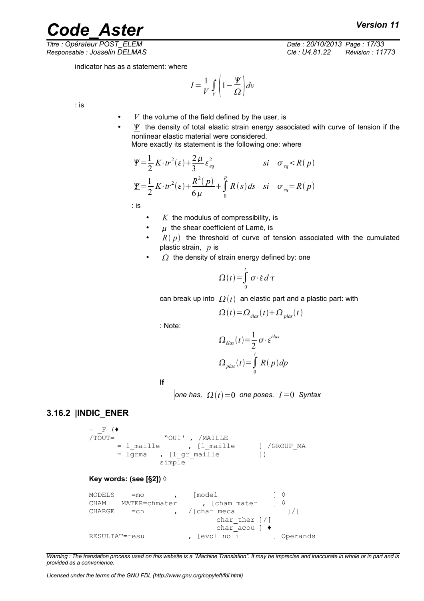*Titre : Opérateur POST\_ELEM Date : 20/10/2013 Page : 17/33 Responsable : Josselin DELMAS Clé : U4.81.22 Révision : 11773*

*Code\_Aster Version 11*

indicator has as a statement: where

$$
I = \frac{1}{V} \int_{V} \left( 1 - \frac{\underline{\mathbf{Y}}}{\Omega} \right) dv
$$

: is

 $V$  the volume of the field defined by the user, is

 $\mathbf y$  the density of total elastic strain energy associated with curve of tension if the nonlinear elastic material were considered. More exactly its statement is the following one: where

$$
\underline{\Psi} = \frac{1}{2} K \cdot tr^2(\varepsilon) + \frac{2\mu}{3} \varepsilon_{eq}^2 \qquad \text{si} \quad \sigma_{eq} < R(p)
$$
\n
$$
\underline{\Psi} = \frac{1}{2} K \cdot tr^2(\varepsilon) + \frac{R^2(p)}{6\mu} + \int_0^p R(s) \, ds \quad \text{si} \quad \sigma_{eq} = R(p)
$$

: is

- *K* the modulus of compressibility, is
- $\mu$  the shear coefficient of Lamé, is
- $R(p)$  the threshold of curve of tension associated with the cumulated plastic strain, *p* is
- $\Omega$  the density of strain energy defined by: one

$$
\Omega(t) = \int_{0}^{t} \sigma \cdot \dot{\varepsilon} d\tau
$$

can break up into  $\Omega(t)$  an elastic part and a plastic part: with

$$
\Omega(t) = \Omega_{\text{elas}}(t) + \Omega_{\text{plas}}(t)
$$

: Note:

$$
\Omega_{\text{elas}}(t) = \frac{1}{2} \sigma \cdot \varepsilon^{\text{elas}}
$$

$$
\Omega_{\text{plas}}(t) = \int_{0}^{t} R(p) dp
$$

**If**

 $|$ one has,  $Q(t)=0$  one poses.  $I=0$  Syntax

## **3.16.2 |INDIC\_ENER**

 $=\nF$  ( $\bullet$ <br>/TOUT= "OUI' , /MAILLE = 1 maille , [1\_maille ] /GROUP\_MA = lgrma , [l gr maille ]) simple

#### **Key words: (see [§2]) ◊**

```
MODELS = mo , [mode1 ] \DiamondCHAM __ MATER=chmater , [cham_mater ] \DiamondCHARGE \quad =ch \quad , \quad /[char \text{meca} \quad ]/[char ther ]/[char acou ] \bulletRESULTAT=resu , [evol noli ] Operands
```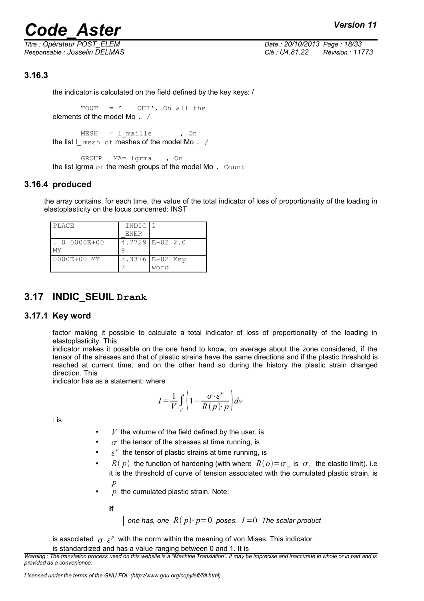*Titre : Opérateur POST\_ELEM Date : 20/10/2013 Page : 18/33 Responsable : Josselin DELMAS Clé : U4.81.22 Révision : 11773*

## **3.16.3**

the indicator is calculated on the field defined by the key keys: /

TOUT = " OUI', On all the elements of the model Mo. /

 $MESH = 1$  maille , On the list  $L$  mesh of meshes of the model Mo. /

GROUP MA= lgrma , On the list lgrma  $\circ$ f the mesh groups of the model Mo. Count

### **3.16.4 produced**

the array contains, for each time, the value of the total indicator of loss of proportionality of the loading in elastoplasticity on the locus concerned: INST

| PLACE       | INDIC       |                     |
|-------------|-------------|---------------------|
|             | <b>ENER</b> |                     |
| 0 0000E+00  |             | $4.7729$ $E-02$ 2.0 |
| МY          |             |                     |
| 0000E+00 MY |             | 3.3376 E-02 Key     |
|             |             | word                |

## **3.17 INDIC\_SEUIL Drank**

#### **3.17.1 Key word**

factor making it possible to calculate a total indicator of loss of proportionality of the loading in elastoplasticity. This

indicator makes it possible on the one hand to know, on average about the zone considered, if the tensor of the stresses and that of plastic strains have the same directions and if the plastic threshold is reached at current time, and on the other hand so during the history the plastic strain changed direction. This

indicator has as a statement: where

$$
I = \frac{1}{V} \int_{V} \left( 1 - \frac{\sigma \cdot \varepsilon^{p}}{R(p) \cdot p} \right) dv
$$

: is

- $\bullet$   $V$  the volume of the field defined by the user, is
- $\sigma$  the tensor of the stresses at time running, is
- $\varepsilon^p$  the tensor of plastic strains at time running, is
- $R(p)$  the function of hardening (with where  $R(o) = \sigma_y$  is  $\sigma_y$  the elastic limit). i.e it is the threshold of curve of tension associated with the cumulated plastic strain. is *p*
- $p$  the cumulated plastic strain. Note:

**If**

one has, one 
$$
R(p) \cdot p=0
$$
 poses.  $I=0$  The scalar product

is associated  $\sigma \cdot \varepsilon^p$  with the norm within the meaning of von Mises. This indicator is standardized and has a value ranging between 0 and 1. It is

*Warning : The translation process used on this website is a "Machine Translation". It may be imprecise and inaccurate in whole or in part and is provided as a convenience.*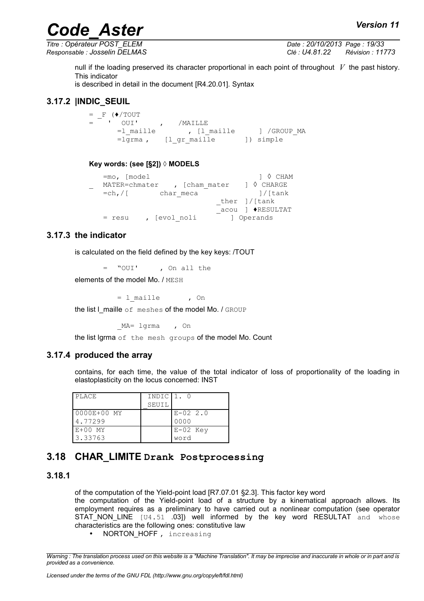*Titre : Opérateur POST\_ELEM Date : 20/10/2013 Page : 19/33 Responsable : Josselin DELMAS Clé : U4.81.22 Révision : 11773*

null if the loading preserved its character proportional in each point of throughout *V* the past history. This indicator

is described in detail in the document [R4.20.01]. Syntax

## **3.17.2 |INDIC\_SEUIL**

 $=$   $F$  ( $\sqrt{T}$ OUT  $=$   $\begin{array}{ccc} \cdot & \cdot & \cdot & \cdot & \cdot \\ \cdot & \cdot & \cdot & \cdot & \cdot \\ \cdot & \cdot & \cdot & \cdot & \cdot \\ \cdot & \cdot & \cdot & \cdot & \cdot \end{array}$ ,  $\begin{array}{ccc} \cdot & \cdot & \cdot & \cdot & \cdot \\ \cdot & \cdot & \cdot & \cdot & \cdot \\ \cdot & \cdot & \cdot & \cdot & \cdot \end{array}$ =l\_maille , [l\_maille ] /GROUP\_MA =lgrma , [l\_gr\_maille ]) simple

#### **Key words: (see [§2]) ◊ MODELS**

| $=$ mo, [model     |              |               | $1 \lozenge$ CHAM |
|--------------------|--------------|---------------|-------------------|
| MATER=chmater      |              | , [cham mater | 1 ♦ CHARGE        |
| $=$ ch, $\sqrt{ }$ | char meca    |               | l/[tank           |
|                    |              |               | ther $1/$ [tank]  |
|                    |              |               | acou ] ◆RESULTAT  |
| $=$ resu           | , [evol noli |               | 1 Operands        |

#### **3.17.3 the indicator**

is calculated on the field defined by the key keys: /TOUT

= "OUI' , On all the

elements of the model Mo. / MESH

 $= 1$  maille , On

the list I maille of meshes of the model Mo. / GROUP

MA= lgrma , On

the list lgrma of the mesh groups of the model Mo. Count

#### **3.17.4 produced the array**

contains, for each time, the value of the total indicator of loss of proportionality of the loading in elastoplasticity on the locus concerned: INST

| PLACE       | INDIC   1. 0 |              |
|-------------|--------------|--------------|
|             | SEUIL        |              |
| 0000E+00 MY |              | $E - 02$ 2.0 |
| 4.77299     |              | 0000         |
| E+00 MY     |              | $E-02$ Key   |
| 3.33763     |              | word         |

## **3.18 CHAR\_LIMITE Drank Postprocessing**

#### **3.18.1**

of the computation of the Yield-point load [R7.07.01 §2.3]. This factor key word the computation of the Yield-point load of a structure by a kinematical approach allows. Its employment requires as a preliminary to have carried out a nonlinear computation (see operator STAT NON LINE [U4.51 .03]) well informed by the key word RESULTAT and whose characteristics are the following ones: constitutive law

<sup>•</sup> NORTON HOFF, increasing

*Warning : The translation process used on this website is a "Machine Translation". It may be imprecise and inaccurate in whole or in part and is provided as a convenience.*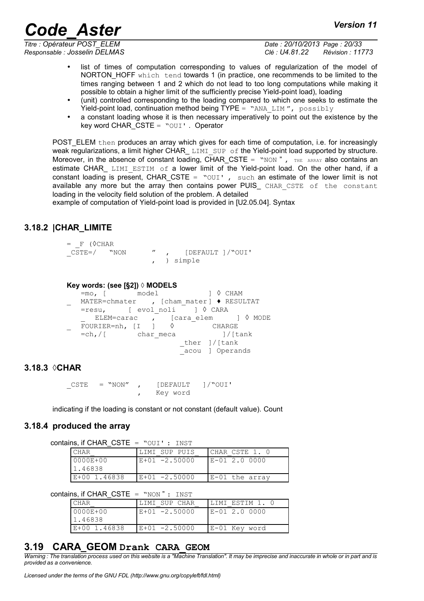*Titre : Opérateur POST\_ELEM Date : 20/10/2013 Page : 20/33*

*Responsable : Josselin DELMAS Clé : U4.81.22 Révision : 11773*

- list of times of computation corresponding to values of regularization of the model of NORTON HOFF which tend towards 1 (in practice, one recommends to be limited to the times ranging between 1 and 2 which do not lead to too long computations while making it possible to obtain a higher limit of the sufficiently precise Yield-point load), loading
- (unit) controlled corresponding to the loading compared to which one seeks to estimate the Yield-point load, continuation method being TYPE = "ANA LIM",  $possubj$
- a constant loading whose it is then necessary imperatively to point out the existence by the key word CHAR  $CSTE = "OUI'$ . Operator

POST ELEM then produces an array which gives for each time of computation, i.e. for increasingly weak regularizations, a limit higher CHAR\_LIMI\_SUP of the Yield-point load supported by structure. Moreover, in the absence of constant loading, CHAR\_CSTE =  $"NON"$ , THE ARRAY also contains an estimate CHAR  $LIMI$  ESTIM of a lower limit of the Yield-point load. On the other hand, if a constant loading is present, CHAR CSTE = " $OUT$  , such an estimate of the lower limit is not available any more but the array then contains power PUIS CHAR CSTE of the constant loading in the velocity field solution of the problem. A detailed

example of computation of Yield-point load is provided in [U2.05.04]. Syntax

## **3.18.2 |CHAR\_LIMITE**

```
= F (\DiamondCHAR
CSTE=/ "NON " , [DEFAULT ]/"OUI'
                     , ) simple
```
#### **Key words: (see [§2]) ◊ MODELS**

 $=$ mo, [  $\frac{1}{2}$  model ]  $\Diamond$  CHAM MATER=chmater , [cham mater]  $\blacklozenge$  RESULTAT  $=$ resu, [ evol noli ]  $\Diamond$  CARA ELEM=carac , [cara\_elem ]  $\Diamond$  MODE \_ FOURIER=nh, [I ] ◊ CHARGE  $=ch$ ,  $/$ [ char meca ]/[tank ther ]/[tank \_acou ] Operands

## **3.18.3 ◊CHAR**

 $CSTE$  = "NON", [DEFAULT ]/"OUI' , Key word

indicating if the loading is constant or not constant (default value). Count

#### **3.18.4 produced the array**

contains, if CHAR\_CSTE = "OUI' : INST

| <b>CHAR</b>   | LIMI SUP PUIS | ICHAR CSTE 1.  |
|---------------|---------------|----------------|
| $10000E + 00$ | E+01 -2.50000 | $E - 012.0000$ |
| 11.46838      |               |                |
| LE+00 1.46838 | E+01 -2.50000 | E-01 the array |

contains, if CHAR CSTE =  $"NON" : **INST**$ 

| CHAR          | LIJMI SUP CHAR  | ILIMI ESTIM 1. 0 |
|---------------|-----------------|------------------|
| $10000E + 00$ | E+01 -2.50000   | IE-01 2.0 0000   |
| 1.46838       |                 |                  |
| E+00 1.46838  | $E+01 -2.50000$ | E-01 Key word    |

## **3.19 CARA\_GEOM Drank CARA\_GEOM**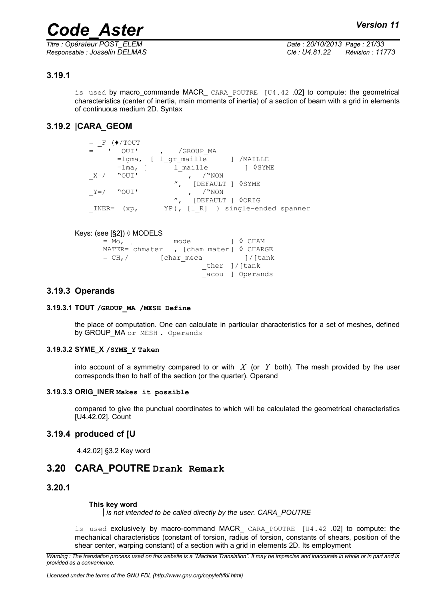## **3.19.1**

is used by macro\_commande MACR\_ CARA\_POUTRE [U4.42 .02] to compute: the geometrical characteristics (center of inertia, main moments of inertia) of a section of beam with a grid in elements of continuous medium 2D. Syntax

## **3.19.2 |CARA\_GEOM**

| $=$ F     | $(*/TOUT)$ |                                   |                 |  |
|-----------|------------|-----------------------------------|-----------------|--|
|           | OUI'       | /GROUP MA                         |                 |  |
|           |            | =lgma, [ l gr maille ] /MAILLE    |                 |  |
|           | $=$ lma, [ | l maille                          | $\lozenge$ SYME |  |
| $X=$      | "OUI'      | / "NON                            |                 |  |
|           |            | ", [DEFAULT ] $\Diamond$ SYME     |                 |  |
| Y=/ "OUI' |            | /"NON                             |                 |  |
|           |            | ", [DEFAULT ] OORIG               |                 |  |
| INER=     | (xp,       | YP), [1 R] ) single-ended spanner |                 |  |
|           |            |                                   |                 |  |

#### Keys: (see [§2]) ◊ MODELS

| $= M \circ$ , $\lceil$                               |            | model |                  | 1 ◊ CHAM                                                                                                       |
|------------------------------------------------------|------------|-------|------------------|----------------------------------------------------------------------------------------------------------------|
| MATER= chmater $\,$ , [cham mater] $\lozenge$ CHARGE |            |       |                  |                                                                                                                |
| $=$ CH, $/$                                          | [char meca |       |                  | and the set of the set of the set of the set of the set of the set of the set of the set of the set of the set |
|                                                      |            |       | ther $]/$ [tank] |                                                                                                                |
|                                                      |            |       |                  | acou ] Operands                                                                                                |
|                                                      |            |       |                  |                                                                                                                |

### **3.19.3 Operands**

#### **3.19.3.1 TOUT /GROUP\_MA /MESH Define**

the place of computation. One can calculate in particular characteristics for a set of meshes, defined by GROUP\_MA or MESH . Operands

#### **3.19.3.2 SYME\_X /SYME\_Y Taken**

into account of a symmetry compared to or with  $X$  (or  $Y$  both). The mesh provided by the user corresponds then to half of the section (or the quarter). Operand

#### **3.19.3.3 ORIG\_INER Makes it possible**

compared to give the punctual coordinates to which will be calculated the geometrical characteristics [U4.42.02]. Count

#### **3.19.4 produced cf [U**

4.42.02] §3.2 Key word

## **3.20 CARA\_POUTRE Drank Remark**

**3.20.1**

#### **This key word**

*is not intended to be called directly by the user. CARA\_POUTRE*

is used exclusively by macro-command MACR\_ CARA POUTRE [U4.42 .02] to compute: the mechanical characteristics (constant of torsion, radius of torsion, constants of shears, position of the shear center, warping constant) of a section with a grid in elements 2D. Its employment

*Warning : The translation process used on this website is a "Machine Translation". It may be imprecise and inaccurate in whole or in part and is provided as a convenience.*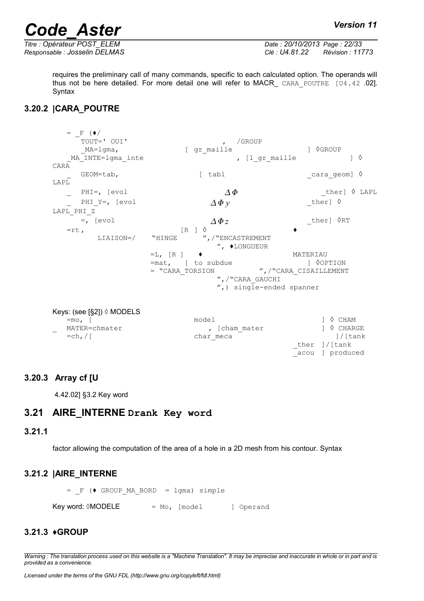*Titre : Opérateur POST\_ELEM Date : 20/10/2013 Page : 22/33 Responsable : Josselin DELMAS Clé : U4.81.22 Révision : 11773*

\_acou ] produced

requires the preliminary call of many commands, specific to each calculated option. The operands will thus not be here detailed. For more detail one will refer to MACR\_ CARA\_POUTRE [U4.42 .02]. Syntax

## **3.20.2 |CARA\_POUTRE**

 $=$   $-\frac{F}{TOUT}$  (  $\bullet$  /  $_{TOUT}$  -  $'$  OUI' , /GROUP \_MA=lgma, [ gr\_maille ] ◊GROUP \_MA\_INTE=lgma\_inte , [l\_gr\_maille ] ◊ CARA  $GEOM$ =tab,  $[$  tabl  $]$   $\Diamond$ LAPL PHI=, [evol  $\Delta \Phi$  ther]  $\Diamond$  LAPL PHI Y=, [evol  $\Delta \Phi v$  ther]  $\Diamond$ LAPL\_PHI\_Z  $\rho =$ , [evol  $\Delta \Phi$ *z*  ${\triangle}$  ther]  $\Diamond$ RT  $=$ rt,  $LIAISON=$ / "HINGE " ", / "ENCASTREMENT ", ♦LONGUEUR  $=$ L,  $[R]$   $\bullet$ <br> $=$ mat,  $[$  to subdue  $[$  0.09TION  $=$ mat,  $[$  to subdue<br> $=$  "CARA TORSION ", /"CARA CISAILLEMENT ",/"CARA\_GAUCHI ",) single-ended spanner

| Keys: (see [§2]) $\Diamond$ MODELS        |               |                     |
|-------------------------------------------|---------------|---------------------|
| $=$ mo, $\Gamma$                          | model         | $1 \lozenge$ CHAM   |
| MATER=chmater<br>$\overline{\phantom{0}}$ | , [cham mater | $1 \lozenge$ CHARGE |
| $=$ ch, $/$ [                             | char meca     | l/[tank             |
|                                           |               | ther $]/$ [tank]    |

## **3.20.3 Array cf [U**

4.42.02] §3.2 Key word

## **3.21 AIRE\_INTERNE Drank Key word**

#### **3.21.1**

factor allowing the computation of the area of a hole in a 2D mesh from his contour. Syntax

## **3.21.2 |AIRE\_INTERNE**

 $=$   $F$  ( $\blacklozenge$  GROUP MA BORD = lgma) simple  $Kev word: \lozenge MODELE$  = Mo, [model ] Operand

## **3.21.3 ♦GROUP**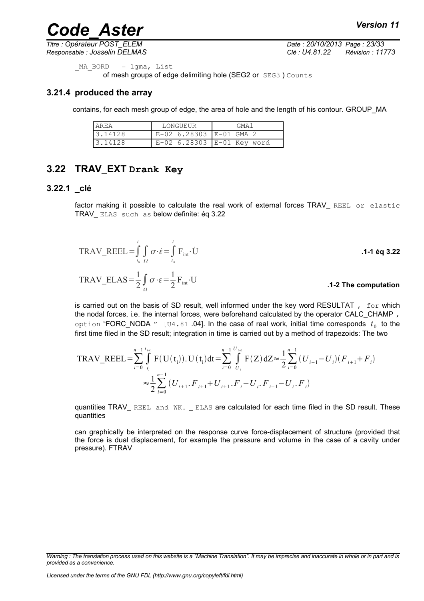*Titre : Opérateur POST\_ELEM Date : 20/10/2013 Page : 23/33 Responsable : Josselin DELMAS Clé : U4.81.22 Révision : 11773*

```
MA BORD = lgma, List
```
of mesh groups of edge delimiting hole (SEG2 or SEG3 ) Counts

## **3.21.4 produced the array**

contains, for each mesh group of edge, the area of hole and the length of his contour. GROUP\_MA

| l AREA  | LONGUEUR                | GMA1                           |  |  |
|---------|-------------------------|--------------------------------|--|--|
| 3.14128 | E-02 6.28303 E-01 GMA 2 |                                |  |  |
| 3.14128 |                         | $E-02$ 6.28303 $E-01$ Key word |  |  |

## **3.22 TRAV\_EXT Drank Key**

#### **3.22.1 \_clé**

factor making it possible to calculate the real work of external forces TRAV\_ REEL or elastic TRAV\_ ELAS such as below definite: éq 3.22

$$
TRAV\_REEL = \int_{t_0}^{t} \int_{\Omega} \sigma \cdot \dot{\epsilon} = \int_{t_0}^{t} F_{int} \cdot \dot{U}
$$
  
\n
$$
TRAV\_ELAS = \frac{1}{2} \int_{\Omega} \sigma \cdot \epsilon = \frac{1}{2} F_{int} \cdot U
$$
  
\n1-2 The computation

is carried out on the basis of SD result, well informed under the key word RESULTAT,  $f \circ r$  which the nodal forces, i.e. the internal forces, were beforehand calculated by the operator CALC\_CHAMP , option "FORC\_NODA  $^{\prime\prime}$  [U4.81 .04]. In the case of real work, initial time corresponds  $\,t_{\rm 0}\,$  to the first time filed in the SD result; integration in time is carried out by a method of trapezoids: The two

$$
\text{TRAV\_REEL} = \sum_{i=0}^{n-1} \int_{t_i}^{t_{i+1}} F(U(t_i)). U(t_i) dt = \sum_{i=0}^{n-1} \int_{U_i}^{U_{i+1}} F(Z) dZ \approx \frac{1}{2} \sum_{i=0}^{n-1} (U_{i+1} - U_i) (F_{i+1} + F_i)
$$
  

$$
\approx \frac{1}{2} \sum_{i=0}^{n-1} (U_{i+1}. F_{i+1} + U_{i+1}. F_i - U_i. F_{i+1} - U_i. F_i)
$$

quantities TRAV\_ REEL and WK. \_ ELAS are calculated for each time filed in the SD result. These quantities

can graphically be interpreted on the response curve force-displacement of structure (provided that the force is dual displacement, for example the pressure and volume in the case of a cavity under pressure). FTRAV

*Warning : The translation process used on this website is a "Machine Translation". It may be imprecise and inaccurate in whole or in part and is provided as a convenience.*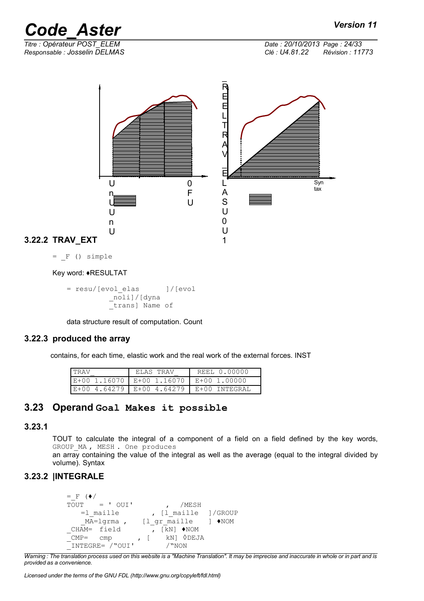*Titre : Opérateur POST\_ELEM Date : 20/10/2013 Page : 24/33 Responsable : Josselin DELMAS Clé : U4.81.22 Révision : 11773*

**3.22.2 TRAV\_EXT**  $\overline{\phantom{a}}$ R E E L T R A V  $\overline{\phantom{a}}$ E L A S U 0 U 1 U n U U n U 0 F  $\mathbf{U}$ Syn tax

 $=$   $F$  () simple

Key word: ♦RESULTAT

= resu/[evol\_elas ]/[evol \_noli]/[dyna \_trans] Name of

data structure result of computation. Count

#### **3.22.3 produced the array**

contains, for each time, elastic work and the real work of the external forces. INST

| TRAV | ELAS TRAV                              | REEL 0.00000                                  |
|------|----------------------------------------|-----------------------------------------------|
|      | E+00 1.16070 E+00 1.16070 E+00 1.00000 |                                               |
|      |                                        | $E+00$ 4.64279   E+00 4.64279   E+00 INTEGRAL |

## **3.23 Operand Goal Makes it possible**

### **3.23.1**

TOUT to calculate the integral of a component of a field on a field defined by the key words, GROUP MA, MESH. One produces

an array containing the value of the integral as well as the average (equal to the integral divided by volume). Syntax

## **3.23.2 |INTEGRALE**

```
\begin{array}{lll} = & F & (\bullet / & \\ \text{TOUT} & = & ' & \text{OUT} \end{array}, /MESH
     =1_maille , [1_maille ]/GROUP<br>MA=lqrma , [1 gr maille ] \blacklozengeNOM
                              [l gr maille ] \blacklozengeNOM
 CHAM= field , [kN] ♦NOM<br>CMP= cmp , [kN] ♦DEJ
 -<br>CMP= cmp , [ kN] \DiamondDEJA
 _INTEGRE= /"OUI' /"NON
```
*Warning : The translation process used on this website is a "Machine Translation". It may be imprecise and inaccurate in whole or in part and is provided as a convenience.*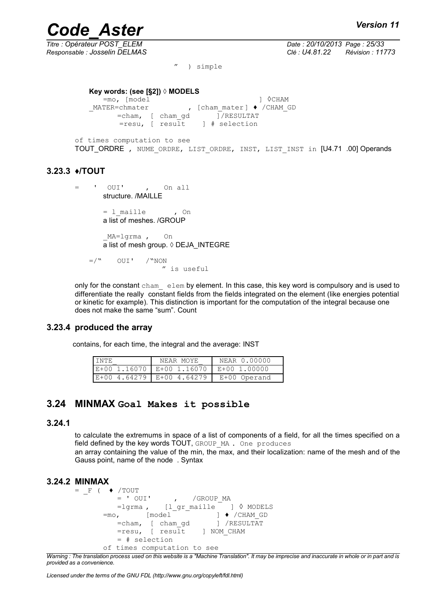*Titre : Opérateur POST\_ELEM Date : 20/10/2013 Page : 25/33 Responsable : Josselin DELMAS Clé : U4.81.22 Révision : 11773*

" ) simple

#### **Key words: (see [§2]) ◊ MODELS**

=mo, [model ] ◊CHAM \_MATER=chmater , [cham\_mater] ♦ /CHAM\_GD =cham, [ cham\_gd ]/RESULTAT  $=$ resu,  $\sqrt{ }$  result  $\sqrt{ }$  # selection

of times computation to see TOUT ORDRE , NUME ORDRE, LIST ORDRE, INST, LIST INST in [U4.71 .00] Operands

### **3.23.3 ♦/TOUT**

```
= ' OUI' , On all
     structure. /MAILLE
```

```
= l_maille , On
a list of meshes. /GROUP
```
\_MA=lgrma , On a list of mesh group. ◊ DEJA\_INTEGRE

 $=$ /" OUI' /"NON " is useful

only for the constant  $cham$  elem by element. In this case, this key word is compulsory and is used to differentiate the really constant fields from the fields integrated on the element (like energies potential or kinetic for example). This distinction is important for the computation of the integral because one does not make the same "sum". Count

#### **3.23.4 produced the array**

contains, for each time, the integral and the average: INST

| <b>INTE</b> | NEAR MOYE                                    | NEAR 0.00000 |
|-------------|----------------------------------------------|--------------|
|             | $E+00$ 1.16070   E+00 1.16070   E+00 1.00000 |              |
|             | $ E+00 4.64279 E+00 4.64279 $                | E+00 Operand |

## **3.24 MINMAX Goal Makes it possible**

#### **3.24.1**

to calculate the extremums in space of a list of components of a field, for all the times specified on a field defined by the key words TOUT, GROUP MA . One produces

an array containing the value of the min, the max, and their localization: name of the mesh and of the Gauss point, name of the node . Syntax

#### **3.24.2 MINMAX**

```
= F ( \blacklozenge /TOUT
           = ' OUI' , /GROUP MA
           =lgrma , [l_gr_maille ] ♦ /CHAM_GD<br>, [model ] ♦ /CHAM_GD<br>=cham, [cham_gd ] /RESULTAT
        =mo, [model]=cham, [ cham_gd
           =resu, [ result ] NOM CHAM
            = # selection 
        of times computation to see
```
*Warning : The translation process used on this website is a "Machine Translation". It may be imprecise and inaccurate in whole or in part and is provided as a convenience.*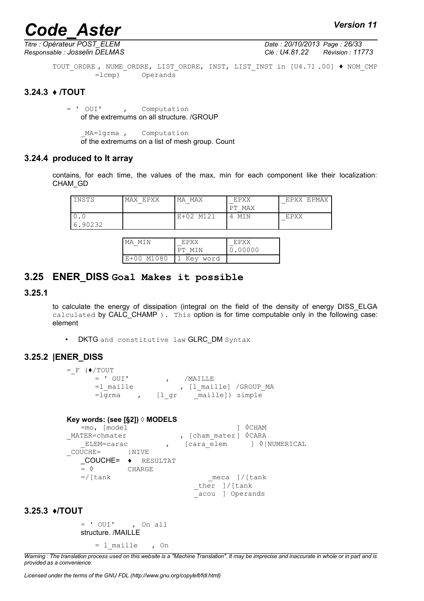*Titre : Opérateur POST\_ELEM Date : 20/10/2013 Page : 26/33*

*Responsable : Josselin DELMAS Clé : U4.81.22 Révision : 11773*

TOUT ORDRE, NUME ORDRE, LIST ORDRE, INST, LIST INST in [U4.71 .00] ♦ NOM CMP =lcmp) Operands

## **3.24.3 ♦ /TOUT**

= ' OUI' , Computation of the extremums on all structure. /GROUP

MA=lgrma , Computation of the extremums on a list of mesh group. Count

#### **3.24.4 produced to It array**

contains, for each time, the values of the max, min for each component like their localization: CHAM\_GD

| INSTS          | EPXX<br>MAX | МA<br>MAX                  | EPXX<br>MAX<br>PТ | <b>F.PMAX</b><br><b>FPXX</b> |
|----------------|-------------|----------------------------|-------------------|------------------------------|
| 0.U<br>6.90232 |             | M <sub>121</sub><br>$E+02$ | MIN               | EPXX                         |

| I MA<br>MTN | <b>EPYX</b> | <b>EPXX</b> |
|-------------|-------------|-------------|
|             | MTN         | 0.00000     |
| E+00 M1080  | 1 Key word  |             |

## **3.25 ENER\_DISS Goal Makes it possible**

#### **3.25.1**

to calculate the energy of dissipation (integral on the field of the density of energy DISS\_ELGA calculated by CALC CHAMP ). This option is for time computable only in the following case: element

• DKTG and constitutive law GLRC\_DM Syntax

## **3.25.2 |ENER\_DISS**

 $=$   $F$  ( $\blacklozenge$ /TOUT = ' OUI' , /MAILLE =l\_maille , [l\_maille] /GROUP\_MA =lgrma , [l\_gr \_maille]) simple

#### **Key words: (see [§2]) ◊ MODELS**

=mo, [model ] ◊CHAM MATER=chmater , [cham mater] <sup>O</sup>CARA ELEM=carac , [cara\_elem ] ◊|NUMERICAL \_COUCHE= |NIVE \_COUCHE= ♦ RESULTAT  $=$   $\Diamond$  CHARGE  $=$ /[tank meca ]/[tank \_ther ]/[tank \_acou ] Operands

#### **3.25.3 ♦/TOUT**

= ' OUI' , On all structure. /MAILLE

= l\_maille , On

*Warning : The translation process used on this website is a "Machine Translation". It may be imprecise and inaccurate in whole or in part and is provided as a convenience.*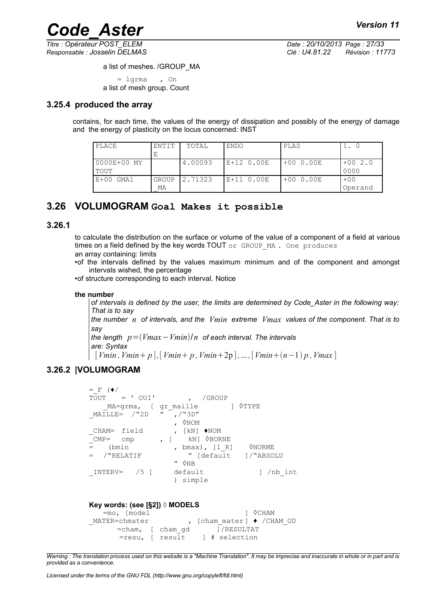*Titre : Opérateur POST\_ELEM Date : 20/10/2013 Page : 27/33 Responsable : Josselin DELMAS Clé : U4.81.22 Révision : 11773*

a list of meshes. /GROUP\_MA

= lgrma , On a list of mesh group. Count

## **3.25.4 produced the array**

contains, for each time, the values of the energy of dissipation and possibly of the energy of damage and the energy of plasticity on the locus concerned: INST

| PLACE       | ENTIT        | TOTAL   | ENDO         | PLAS       |          |
|-------------|--------------|---------|--------------|------------|----------|
|             | Е            |         |              |            |          |
| 0000E+00 MY |              | 4.00093 | $E+12$ 0.00E | $+000.00E$ | $+002.0$ |
| TOUT        |              |         |              |            | 0000     |
| $E+00$ GMA1 | <b>GROUP</b> | 2.71323 | E+11 0.00E   | $+000.00E$ | $+00$    |
|             | МA           |         |              |            | Operand  |

## **3.26 VOLUMOGRAM Goal Makes it possible**

#### **3.26.1**

to calculate the distribution on the surface or volume of the value of a component of a field at various times on a field defined by the key words TOUT or GROUP MA. One produces an array containing: limits

•of the intervals defined by the values maximum minimum and of the component and amongst intervals wished, the percentage

•of structure corresponding to each interval. Notice

#### **the number**

*of intervals is defined by the user, the limits are determined by Code\_Aster in the following way: That is to say*

*the number n of intervals, and the Vmin extreme Vmax values of the component. That is to say* 

*the length p*=*Vmax*−*Vmin*/*n of each interval. The intervals are: Syntax*

 $[Vmin, Vmin + p]$ ,  $[Vmin + p, Vmin + 2p]$ , ...,  $[Vmin + (n-1) p, Vmax]$ 

## **3.26.2 |VOLUMOGRAM**

```
= F (\bullet/
TOUT = ' OUI' , /GROUP
    MA=grma, [ gr_maille ] ◊TYPE<br>LLE= /"2D " ,/"3D"
MATLLE= /"2D "
                    , ◊NOM<br>, [kN] ♦NOM
CHAM= field
_CMP= cmp , [ kN] ◊BORNE
= (bmin , bmax), [1_R] <sup>0</sup>NORME<br>= /"RELATIF " [default 1/"ABSO
= / "RELATIF " [default ]/ "ABSOLU
                    ^{\prime\prime} \lozenge NB
INTERV= /5 [ default ] /nb int
                     ) simple
```
#### **Key words: (see [§2]) ◊ MODELS**

=mo, [model ] ◊CHAM \_MATER=chmater , [cham\_mater] ♦ /CHAM\_GD =cham, [ cham\_gd ]/RESULTAT =resu, [ result ] # selection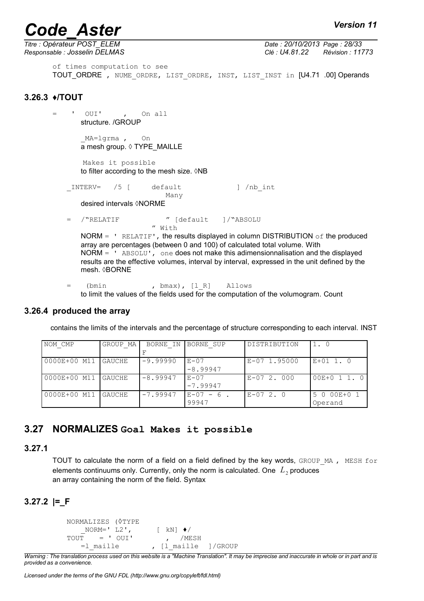*Titre : Opérateur POST\_ELEM Date : 20/10/2013 Page : 28/33*

*Responsable : Josselin DELMAS Clé : U4.81.22 Révision : 11773*

of times computation to see TOUT\_ORDRE, NUME ORDRE, LIST ORDRE, INST, LIST INST in [U4.71 .00] Operands

## **3.26.3 ♦/TOUT**

- $=$  ' OUI' , On all structure. /GROUP \_MA=lgrma , On a mesh group. ◊ TYPE\_MAILLE Makes it possible to filter according to the mesh size.  $\Diamond$ NB \_INTERV= /5 [ default ] /nb\_int Many desired intervals ◊NORME /"RELATIF " [default ]/"ABSOLU " With NORM =  $'$  RELATIF', the results displayed in column DISTRIBUTION of the produced array are percentages (between 0 and 100) of calculated total volume. With  $NORM = '$  ABSOLU', one does not make this adimensionnalisation and the displayed results are the effective volumes, interval by interval, expressed in the unit defined by the mesh. ◊BORNE
	- = (bmin , bmax), [l\_R] Allows to limit the values of the fields used for the computation of the volumogram. Count

#### **3.26.4 produced the array**

contains the limits of the intervals and the percentage of structure corresponding to each interval. INST

| NOM CMP               | GROUP MA | BORNE IN   | <b>IBORNE SUP</b> | DISTRIBUTION | 1.0           |
|-----------------------|----------|------------|-------------------|--------------|---------------|
|                       |          |            |                   |              |               |
| 0000E+00 M11   GAUCHE |          | $-9.99990$ | $E - 07$          | E-07 1.95000 | $E+01$ 1. 0   |
|                       |          |            | $-8.99947$        |              |               |
| 0000E+00 M11   GAUCHE |          | $-8.99947$ | $E - 07$          | E-07 2.000   | $00E+0$ 1 1.0 |
|                       |          |            | $-7.99947$        |              |               |
| 0000E+00 M11   GAUCHE |          | $-7.99947$ | $E-07 - 6$ .      | $E-07$ 2.0   | 5 0 00E+0 1   |
|                       |          |            | 99947             |              | Operand       |

## **3.27 NORMALIZES Goal Makes it possible**

## **3.27.1**

TOUT to calculate the norm of a field on a field defined by the key words, GROUP MA, MESH for elements continuums only. Currently, only the norm is calculated. One  $|L_2|$  produces an array containing the norm of the field. Syntax

## **3.27.2 |=\_F**

NORMALIZES (◊TYPE  $NORM=' L2',$  [ kN]  $\blacklozenge$ /  $TOUT$  = '  $OUT$  , /MESH =1 maille , [1 maille ]/GROUP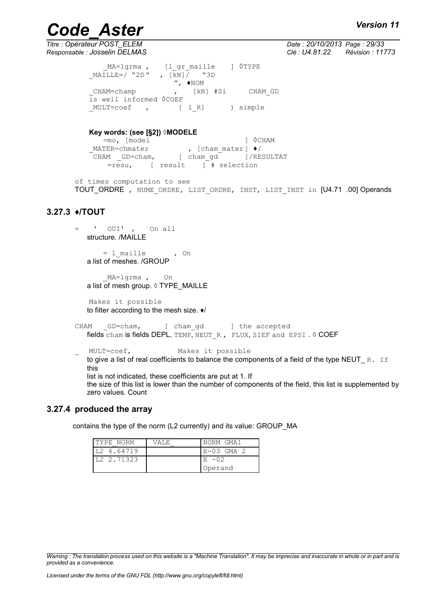*Titre : Opérateur POST\_ELEM Date : 20/10/2013 Page : 29/33 Responsable : Josselin DELMAS Clé : U4.81.22 Révision : 11773*

> MA=lgrma , [l gr\_maille ] ◊TYPE \_MAILLE=/ "2D " , [kN]/ "3D  $^{\prime\prime}$ ,  $\blacklozenge$  NOM CHAM=champ , [kN] #Si CHAM GD is well informed ◊COEF \_MULT=coef , [ l\_R] ) simple

#### **Key words: (see [§2]) ◊MODELE**

=mo, [model ] ◊CHAM \_MATER=chmater , [cham\_mater] ♦/ CHAM GD=cham, [ cham gd ]/RESULTAT  $=$ resu, [ result  $\frac{1}{1}$  # selection

of times computation to see TOUT\_ORDRE , NUME\_ORDRE, LIST\_ORDRE, INST, LIST\_INST in [U4.71 .00] Operands

## **3.27.3 ♦/TOUT**

= ' OUI' , On all structure. /MAILLE

> $= 1$ \_maille , On a list of meshes. /GROUP

\_MA=lgrma , On a list of mesh group.  $\Diamond$  TYPE\_MAILLE

Makes it possible to filter according to the mesh size. ♦/

```
CHAM GD=cham, [ cham gd ] the accepted
  fields cham is fields DEPL, TEMP, NEUT R, FLUX, SIEF and EPSI . \lozenge COEF
```
MULT=coef, Makes it possible to give a list of real coefficients to balance the components of a field of the type NEUT  $R$ . If this list is not indicated, these coefficients are put at 1. If the size of this list is lower than the number of components of the field, this list is supplemented by zero values. Count

#### **3.27.4 produced the array**

contains the type of the norm (L2 currently) and its value: GROUP\_MA

| TYPE NORM  | VALE. | NORM GMA1  |
|------------|-------|------------|
| L2 4.64719 |       | E-03 GMA 2 |
| L2 2.71323 |       | $E - 02$   |
|            |       | Operand    |

*Warning : The translation process used on this website is a "Machine Translation". It may be imprecise and inaccurate in whole or in part and is provided as a convenience.*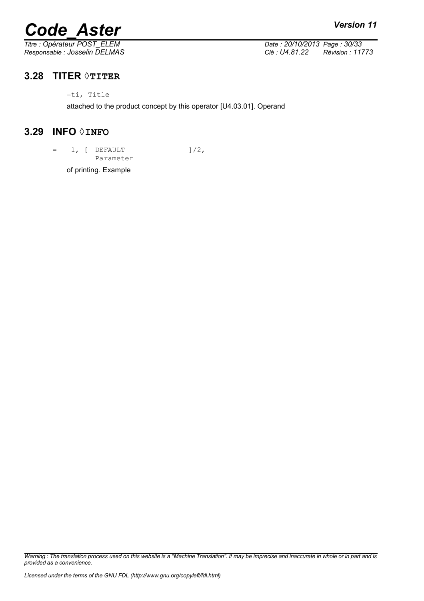# *Code\_Aster Version 11*<br> *Titre* : Opérateur POST\_ELEM *Date* : 20/10/2013 Page : 30/33

*Titre : Opérateur POST\_ELEM Date : 20/10/2013 Page : 30/33 Responsable : Josselin DELMAS Clé : U4.81.22 Révision : 11773*

## **3.28 TITER ◊TITER**

=ti, Title

attached to the product concept by this operator [U4.03.01]. Operand

## **3.29 INFO ◊INFO**

 $=$  1, [ DEFAULT  $]/2$ , Parameter

of printing. Example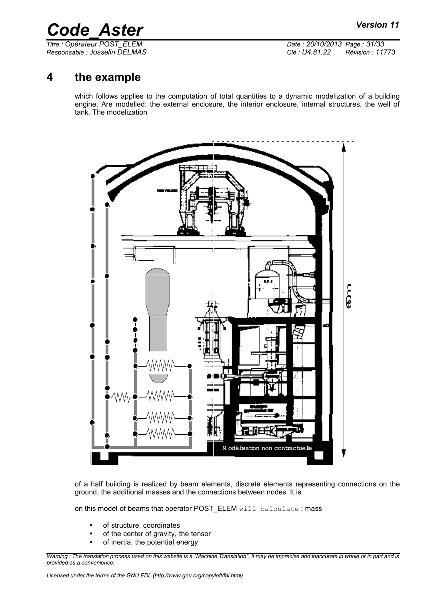*Titre : Opérateur POST\_ELEM Date : 20/10/2013 Page : 31/33 Responsable : Josselin DELMAS Clé : U4.81.22 Révision : 11773*

## **4 the example**

which follows applies to the computation of total quantities to a dynamic modelization of a building engine. Are modelled: the external enclosure, the interior enclosure, internal structures, the well of tank. The modelization



of a half building is realized by beam elements, discrete elements representing connections on the ground, the additional masses and the connections between nodes. It is

on this model of beams that operator POST\_ELEM will calculate : mass

- of structure, coordinates
- of the center of gravity, the tensor
- of inertia, the potential energy

*Warning : The translation process used on this website is a "Machine Translation". It may be imprecise and inaccurate in whole or in part and is provided as a convenience.*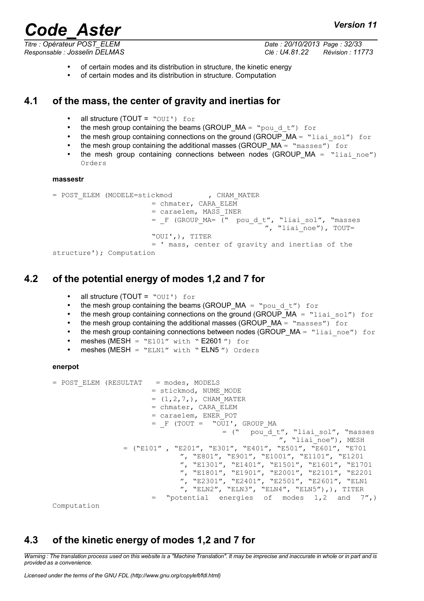*Titre : Opérateur POST\_ELEM Date : 20/10/2013 Page : 32/33*

*Responsable : Josselin DELMAS Clé : U4.81.22 Révision : 11773*

- of certain modes and its distribution in structure, the kinetic energy
- of certain modes and its distribution in structure. Computation

## **4.1 of the mass, the center of gravity and inertias for**

- all structure (TOUT = "OUI') for
- the mesh group containing the beams (GROUP  $MA =$  "pould t") for
- the mesh group containing connections on the ground (GROUP\_MA = "liai\_sol") for
- the mesh group containing the additional masses (GROUP  $MA = "masses"$ ) for
- the mesh group containing connections between nodes (GROUP  $MA = "liai noe")$ Orders

#### **massestr**

```
= POST_ELEM (MODELE=stickmod , CHAM_MATER
                         = chmater, CARA ELEM
                         = caraelem, MASS_INER
                         = _F (GROUP_MA= (" pou_d_t", "liai_sol", "masses
                                                     \sqrt{''}, "liai\overline{\phantom{a}}noe"), TOUT=
                         "OUI',), TITER
                         = ' mass, center of gravity and inertias of the
structure'); Computation
```
## **4.2 of the potential energy of modes 1,2 and 7 for**

- all structure (TOUT =  $"OUT'$ ) for
- the mesh group containing the beams (GROUP MA = "pould t") for
- the mesh group containing connections on the ground (GROUP  $MA =$  "liai sol") for
- the mesh group containing the additional masses (GROUP  $MA = "masses")$  for
- the mesh group containing connections between nodes (GROUP  $MA =$  "liai noe") for
- meshes (MESH =  $"E101"$  with  $"E2601"$ ) for
- $meshes$  (MESH = "ELN1" with "ELN5") Orders

#### **enerpot**

```
= POST_ELEM (RESULTAT = modes, MODELS
                      = stickmod, NUME_MODE
                      = (1, 2, 7, ), CHAM MATER
                       = chmater, CARA_ELEM
                      = caraelem, ENER_POT
                       = F (TOUT = "OUI', GROUP MA
                                       = (" pou^{-}d t", "liai sol", "masses
                                                    ", "liai noe"), MESH
                = ("E101", "E201", "E301", "E401", "E501", "E601", "E701
                             ", "E801", "E901", "E1001", "E1101", "E1201 
                             ", "E1301", "E1401", "E1501", "E1601", "E1701
                             ", "E1801", "E1901", "E2001", "E2101", "E2201
                             ", "E2301", "E2401", "E2501", "E2601", "ELN1
                             ", "ELN2", "ELN3", "ELN4", "ELN5"),), TITER
                      = "potential energies of modes 1,2 and 7'',)
```
Computation

## **4.3 of the kinetic energy of modes 1,2 and 7 for**